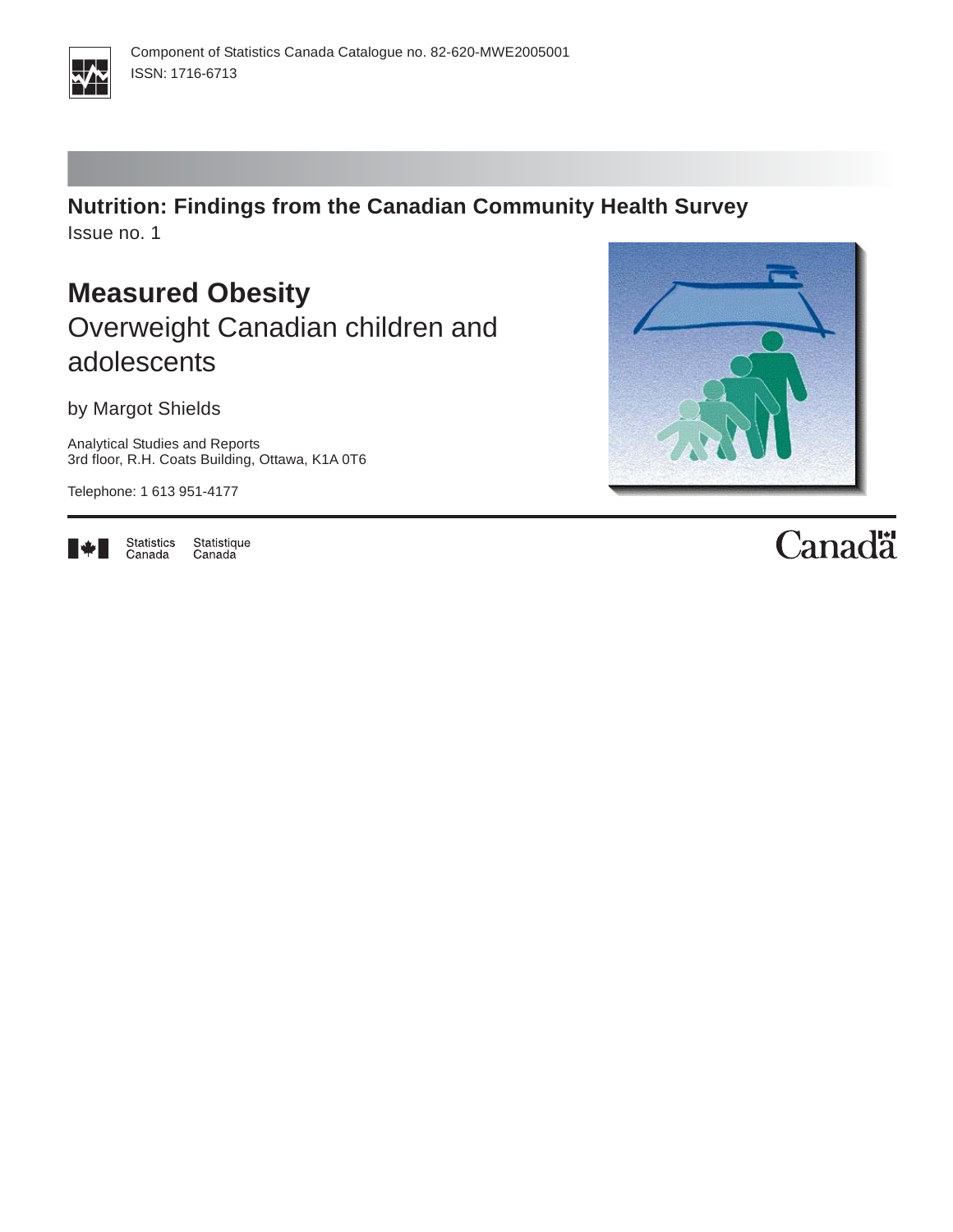

**Nutrition: Findings from the Canadian Community Health Survey** Issue no. 1

**Measured Obesity** Overweight Canadian children and adolescents

by Margot Shields

Analytical Studies and Reports 3rd floor, R.H. Coats Building, Ottawa, K1A 0T6

Telephone: 1 613 951-4177



Statistics<br>Canada Statistique Canada



# Canadä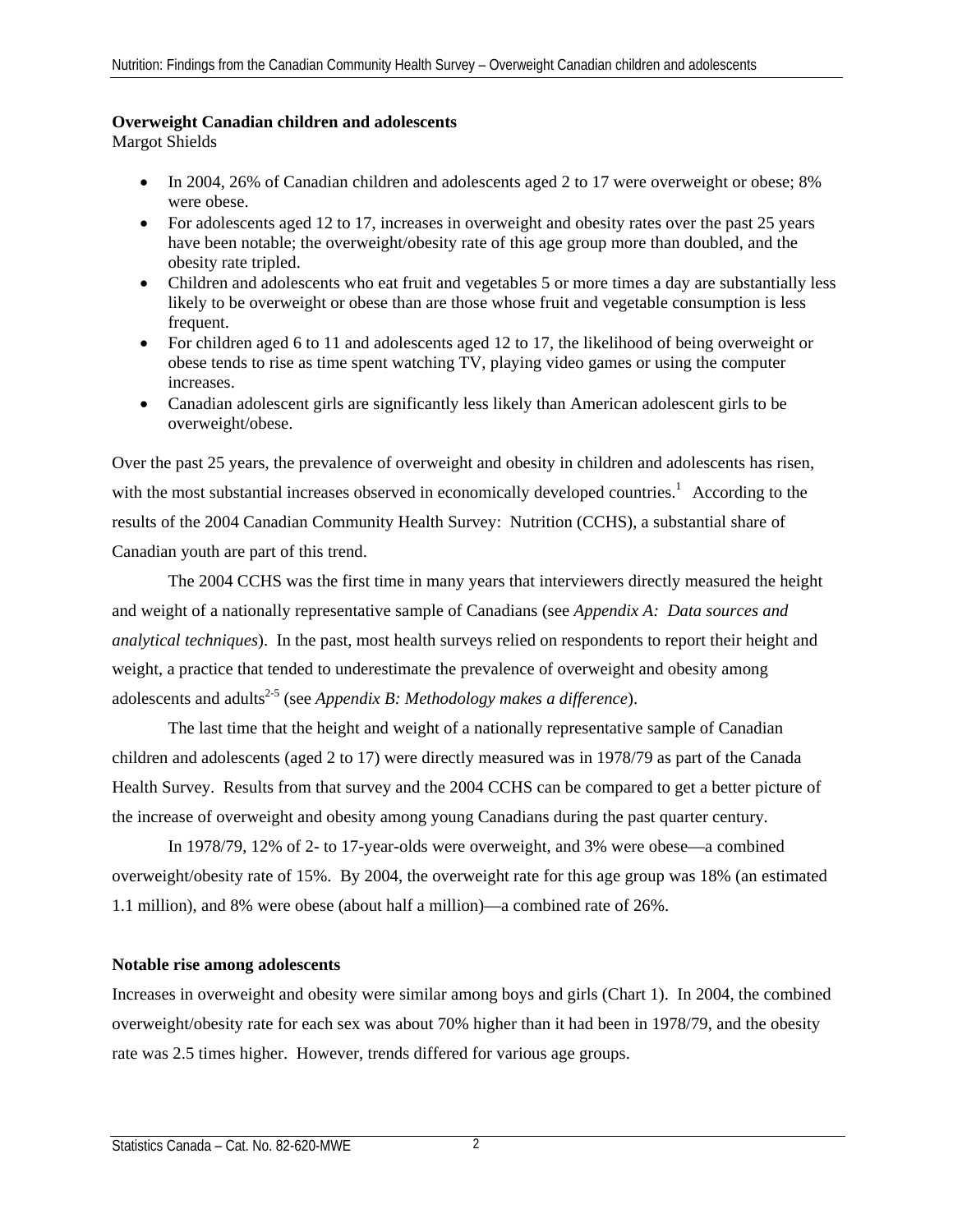#### **Overweight Canadian children and adolescents**

Margot Shields

- In 2004, 26% of Canadian children and adolescents aged 2 to 17 were overweight or obese; 8% were obese.
- For adolescents aged 12 to 17, increases in overweight and obesity rates over the past 25 years have been notable; the overweight/obesity rate of this age group more than doubled, and the obesity rate tripled.
- Children and adolescents who eat fruit and vegetables 5 or more times a day are substantially less likely to be overweight or obese than are those whose fruit and vegetable consumption is less frequent.
- For children aged 6 to 11 and adolescents aged 12 to 17, the likelihood of being overweight or obese tends to rise as time spent watching TV, playing video games or using the computer increases.
- Canadian adolescent girls are significantly less likely than American adolescent girls to be overweight/obese.

Over the past 25 years, the prevalence of overweight and obesity in children and adolescents has risen, with the most substantial increases observed in economically developed countries.<sup>1</sup> According to the results of the 2004 Canadian Community Health Survey: Nutrition (CCHS), a substantial share of Canadian youth are part of this trend.

The 2004 CCHS was the first time in many years that interviewers directly measured the height and weight of a nationally representative sample of Canadians (see *Appendix A: Data sources and analytical techniques*). In the past, most health surveys relied on respondents to report their height and weight, a practice that tended to underestimate the prevalence of overweight and obesity among adolescents and adults<sup>2-5</sup> (see *Appendix B: Methodology makes a difference*).

The last time that the height and weight of a nationally representative sample of Canadian children and adolescents (aged 2 to 17) were directly measured was in 1978/79 as part of the Canada Health Survey. Results from that survey and the 2004 CCHS can be compared to get a better picture of the increase of overweight and obesity among young Canadians during the past quarter century.

In 1978/79, 12% of 2- to 17-year-olds were overweight, and 3% were obese—a combined overweight/obesity rate of 15%. By 2004, the overweight rate for this age group was 18% (an estimated 1.1 million), and 8% were obese (about half a million)—a combined rate of 26%.

## **Notable rise among adolescents**

Increases in overweight and obesity were similar among boys and girls (Chart 1). In 2004, the combined overweight/obesity rate for each sex was about 70% higher than it had been in 1978/79, and the obesity rate was 2.5 times higher. However, trends differed for various age groups.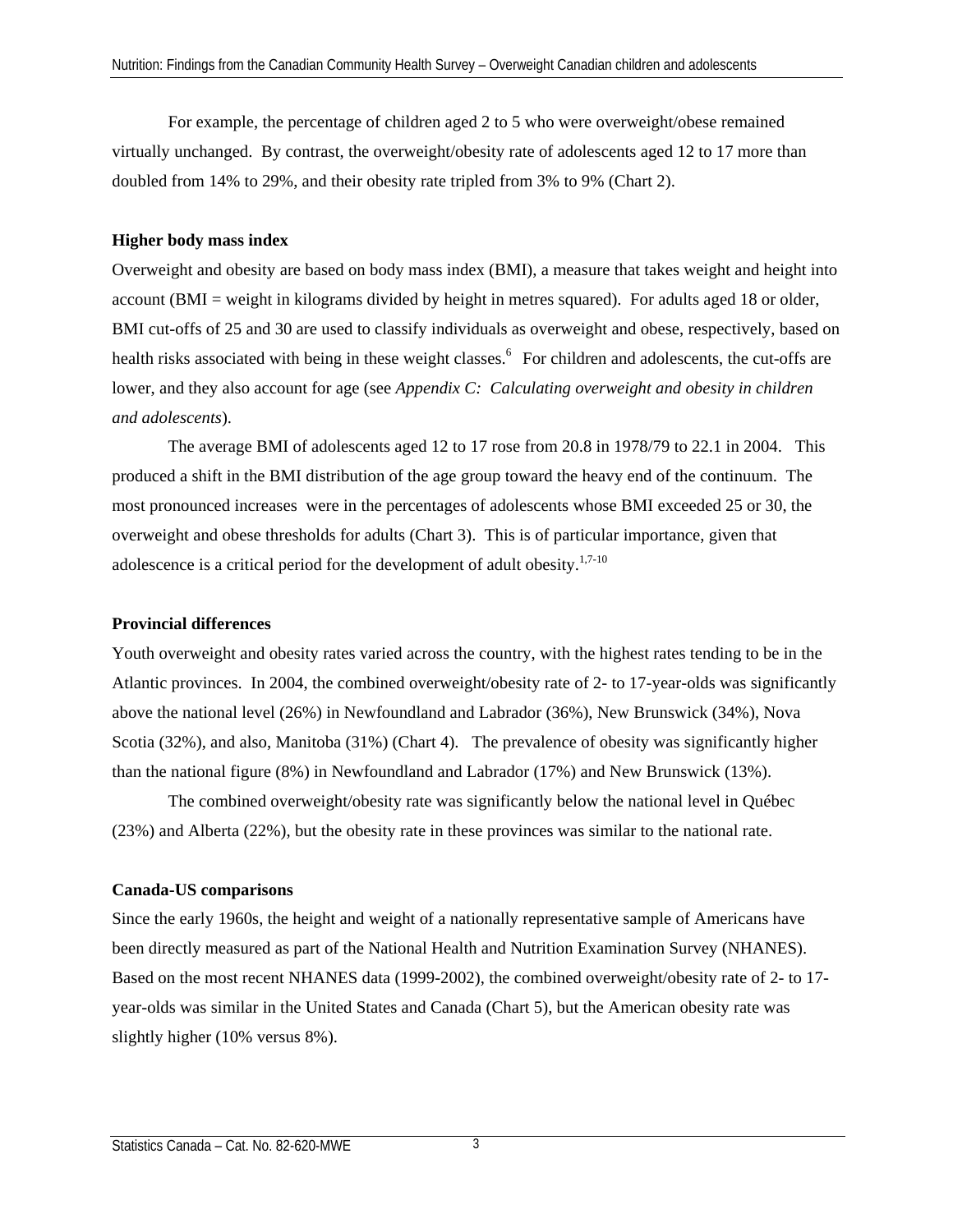For example, the percentage of children aged 2 to 5 who were overweight/obese remained virtually unchanged. By contrast, the overweight/obesity rate of adolescents aged 12 to 17 more than doubled from 14% to 29%, and their obesity rate tripled from 3% to 9% (Chart 2).

## **Higher body mass index**

Overweight and obesity are based on body mass index (BMI), a measure that takes weight and height into account (BMI = weight in kilograms divided by height in metres squared). For adults aged 18 or older, BMI cut-offs of 25 and 30 are used to classify individuals as overweight and obese, respectively, based on health risks associated with being in these weight classes.<sup>6</sup> For children and adolescents, the cut-offs are lower, and they also account for age (see *Appendix C: Calculating overweight and obesity in children and adolescents*).

The average BMI of adolescents aged 12 to 17 rose from 20.8 in 1978/79 to 22.1 in 2004. This produced a shift in the BMI distribution of the age group toward the heavy end of the continuum. The most pronounced increases were in the percentages of adolescents whose BMI exceeded 25 or 30, the overweight and obese thresholds for adults (Chart 3). This is of particular importance, given that adolescence is a critical period for the development of adult obesity.<sup>1,7-10</sup>

## **Provincial differences**

Youth overweight and obesity rates varied across the country, with the highest rates tending to be in the Atlantic provinces. In 2004, the combined overweight/obesity rate of 2- to 17-year-olds was significantly above the national level (26%) in Newfoundland and Labrador (36%), New Brunswick (34%), Nova Scotia (32%), and also, Manitoba (31%) (Chart 4). The prevalence of obesity was significantly higher than the national figure (8%) in Newfoundland and Labrador (17%) and New Brunswick (13%).

The combined overweight/obesity rate was significantly below the national level in Québec (23%) and Alberta (22%), but the obesity rate in these provinces was similar to the national rate.

## **Canada-US comparisons**

Since the early 1960s, the height and weight of a nationally representative sample of Americans have been directly measured as part of the National Health and Nutrition Examination Survey (NHANES). Based on the most recent NHANES data (1999-2002), the combined overweight/obesity rate of 2- to 17 year-olds was similar in the United States and Canada (Chart 5), but the American obesity rate was slightly higher (10% versus 8%).

3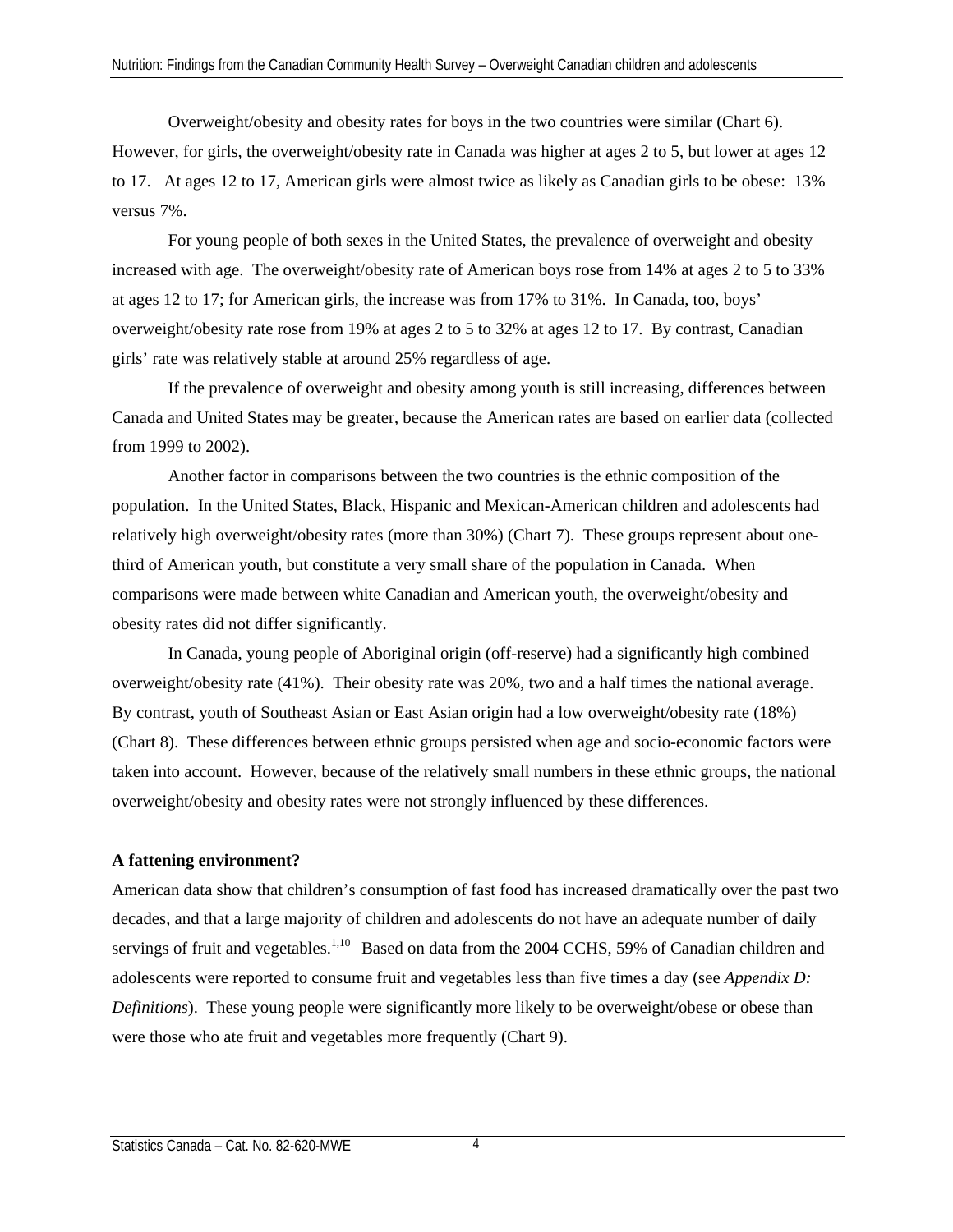Overweight/obesity and obesity rates for boys in the two countries were similar (Chart 6). However, for girls, the overweight/obesity rate in Canada was higher at ages 2 to 5, but lower at ages 12 to 17. At ages 12 to 17, American girls were almost twice as likely as Canadian girls to be obese: 13% versus 7%.

For young people of both sexes in the United States, the prevalence of overweight and obesity increased with age. The overweight/obesity rate of American boys rose from 14% at ages 2 to 5 to 33% at ages 12 to 17; for American girls, the increase was from 17% to 31%. In Canada, too, boys' overweight/obesity rate rose from 19% at ages 2 to 5 to 32% at ages 12 to 17. By contrast, Canadian girls' rate was relatively stable at around 25% regardless of age.

If the prevalence of overweight and obesity among youth is still increasing, differences between Canada and United States may be greater, because the American rates are based on earlier data (collected from 1999 to 2002).

Another factor in comparisons between the two countries is the ethnic composition of the population. In the United States, Black, Hispanic and Mexican-American children and adolescents had relatively high overweight/obesity rates (more than 30%) (Chart 7). These groups represent about onethird of American youth, but constitute a very small share of the population in Canada. When comparisons were made between white Canadian and American youth, the overweight/obesity and obesity rates did not differ significantly.

In Canada, young people of Aboriginal origin (off-reserve) had a significantly high combined overweight/obesity rate (41%). Their obesity rate was 20%, two and a half times the national average. By contrast, youth of Southeast Asian or East Asian origin had a low overweight/obesity rate (18%) (Chart 8). These differences between ethnic groups persisted when age and socio-economic factors were taken into account. However, because of the relatively small numbers in these ethnic groups, the national overweight/obesity and obesity rates were not strongly influenced by these differences.

## **A fattening environment?**

American data show that children's consumption of fast food has increased dramatically over the past two decades, and that a large majority of children and adolescents do not have an adequate number of daily servings of fruit and vegetables.<sup>1,10</sup> Based on data from the 2004 CCHS, 59% of Canadian children and adolescents were reported to consume fruit and vegetables less than five times a day (see *Appendix D: Definitions*). These young people were significantly more likely to be overweight/obese or obese than were those who ate fruit and vegetables more frequently (Chart 9).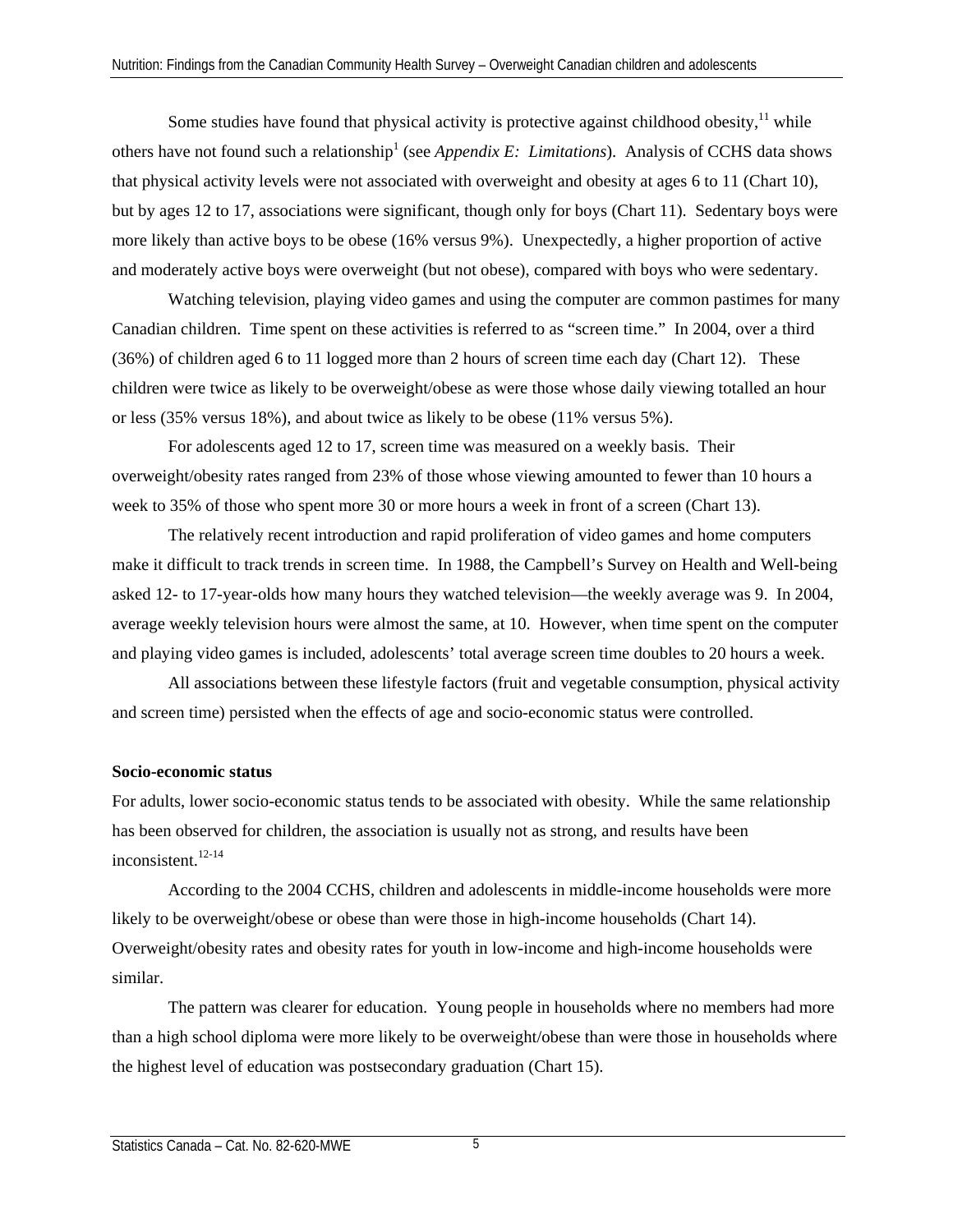Some studies have found that physical activity is protective against childhood obesity,  $\frac{11}{11}$  while others have not found such a relationship<sup>1</sup> (see *Appendix E: Limitations*). Analysis of CCHS data shows that physical activity levels were not associated with overweight and obesity at ages 6 to 11 (Chart 10), but by ages 12 to 17, associations were significant, though only for boys (Chart 11). Sedentary boys were more likely than active boys to be obese (16% versus 9%). Unexpectedly, a higher proportion of active and moderately active boys were overweight (but not obese), compared with boys who were sedentary.

Watching television, playing video games and using the computer are common pastimes for many Canadian children. Time spent on these activities is referred to as "screen time." In 2004, over a third (36%) of children aged 6 to 11 logged more than 2 hours of screen time each day (Chart 12). These children were twice as likely to be overweight/obese as were those whose daily viewing totalled an hour or less (35% versus 18%), and about twice as likely to be obese (11% versus 5%).

For adolescents aged 12 to 17, screen time was measured on a weekly basis. Their overweight/obesity rates ranged from 23% of those whose viewing amounted to fewer than 10 hours a week to 35% of those who spent more 30 or more hours a week in front of a screen (Chart 13).

The relatively recent introduction and rapid proliferation of video games and home computers make it difficult to track trends in screen time. In 1988, the Campbell's Survey on Health and Well-being asked 12- to 17-year-olds how many hours they watched television—the weekly average was 9. In 2004, average weekly television hours were almost the same, at 10. However, when time spent on the computer and playing video games is included, adolescents' total average screen time doubles to 20 hours a week.

 All associations between these lifestyle factors (fruit and vegetable consumption, physical activity and screen time) persisted when the effects of age and socio-economic status were controlled.

## **Socio-economic status**

For adults, lower socio-economic status tends to be associated with obesity. While the same relationship has been observed for children, the association is usually not as strong, and results have been inconsistent.<sup>12-14</sup>

According to the 2004 CCHS, children and adolescents in middle-income households were more likely to be overweight/obese or obese than were those in high-income households (Chart 14). Overweight/obesity rates and obesity rates for youth in low-income and high-income households were similar.

The pattern was clearer for education. Young people in households where no members had more than a high school diploma were more likely to be overweight/obese than were those in households where the highest level of education was postsecondary graduation (Chart 15).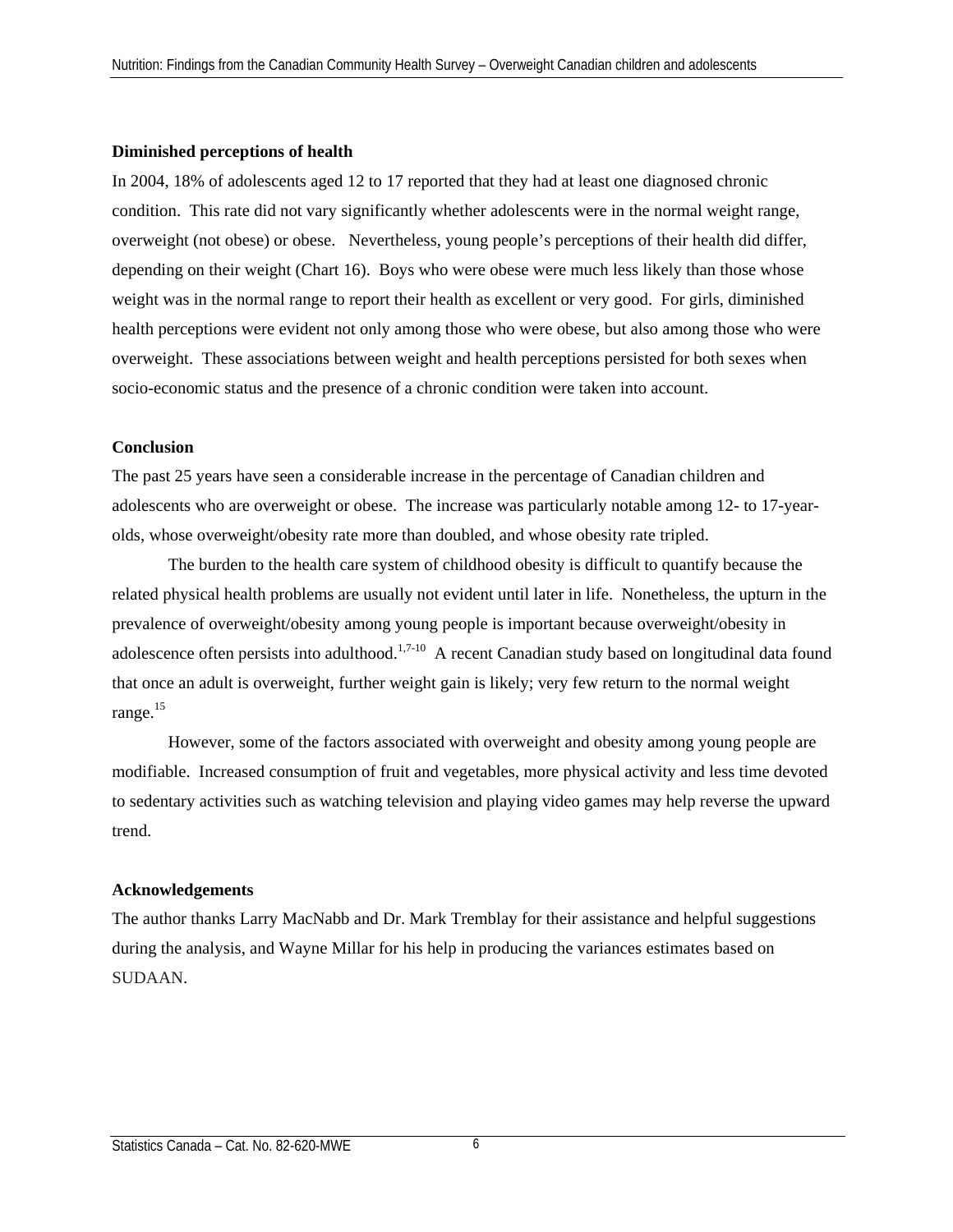#### **Diminished perceptions of health**

In 2004, 18% of adolescents aged 12 to 17 reported that they had at least one diagnosed chronic condition. This rate did not vary significantly whether adolescents were in the normal weight range, overweight (not obese) or obese. Nevertheless, young people's perceptions of their health did differ, depending on their weight (Chart 16). Boys who were obese were much less likely than those whose weight was in the normal range to report their health as excellent or very good. For girls, diminished health perceptions were evident not only among those who were obese, but also among those who were overweight. These associations between weight and health perceptions persisted for both sexes when socio-economic status and the presence of a chronic condition were taken into account.

#### **Conclusion**

The past 25 years have seen a considerable increase in the percentage of Canadian children and adolescents who are overweight or obese. The increase was particularly notable among 12- to 17-yearolds, whose overweight/obesity rate more than doubled, and whose obesity rate tripled.

The burden to the health care system of childhood obesity is difficult to quantify because the related physical health problems are usually not evident until later in life. Nonetheless, the upturn in the prevalence of overweight/obesity among young people is important because overweight/obesity in adolescence often persists into adulthood.<sup>1,7-10</sup> A recent Canadian study based on longitudinal data found that once an adult is overweight, further weight gain is likely; very few return to the normal weight range.<sup>15</sup>

However, some of the factors associated with overweight and obesity among young people are modifiable. Increased consumption of fruit and vegetables, more physical activity and less time devoted to sedentary activities such as watching television and playing video games may help reverse the upward trend.

## **Acknowledgements**

The author thanks Larry MacNabb and Dr. Mark Tremblay for their assistance and helpful suggestions during the analysis, and Wayne Millar for his help in producing the variances estimates based on SUDAAN.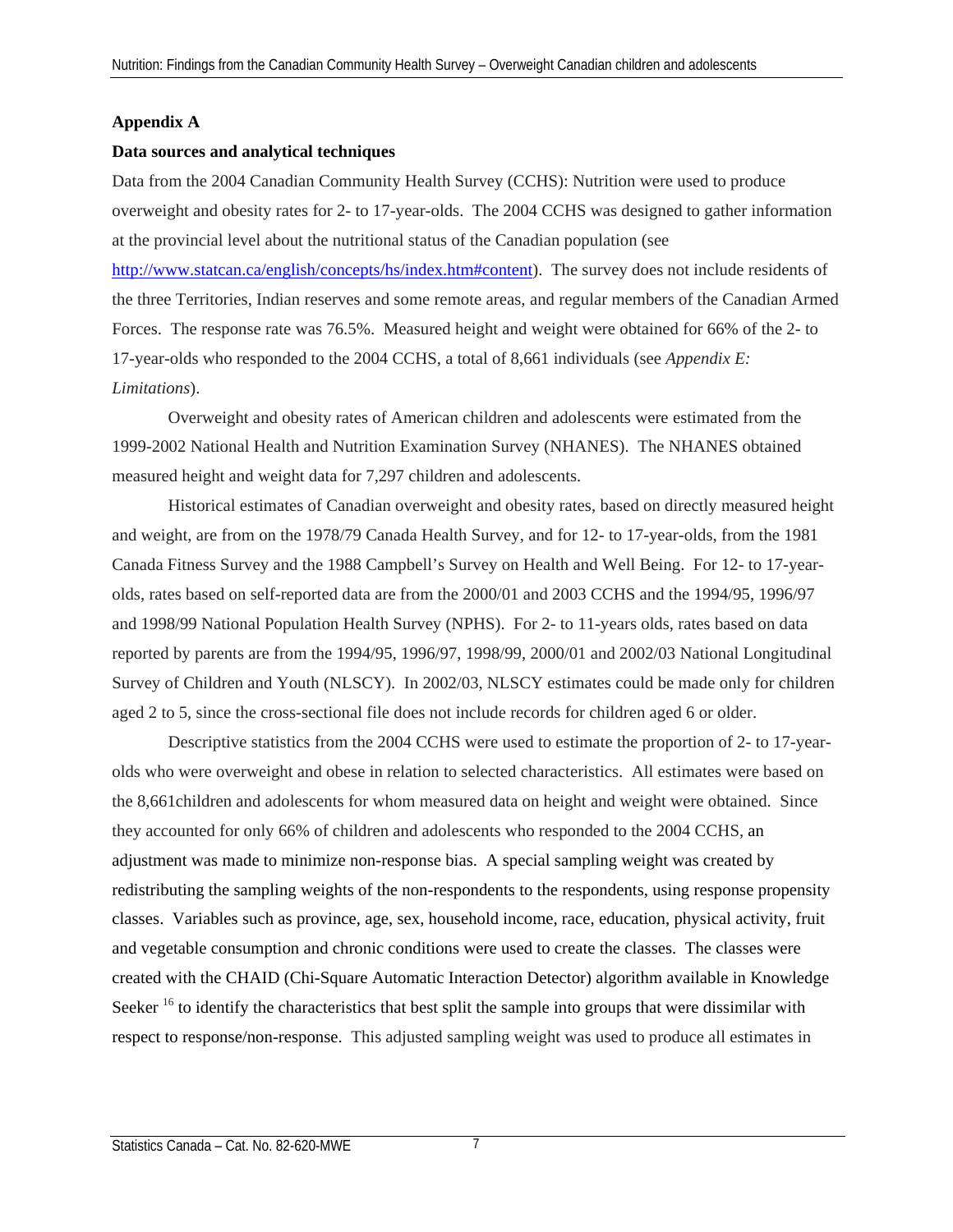# **Appendix A**

#### **Data sources and analytical techniques**

Data from the 2004 Canadian Community Health Survey (CCHS): Nutrition were used to produce overweight and obesity rates for 2- to 17-year-olds. The 2004 CCHS was designed to gather information at the provincial level about the nutritional status of the Canadian population (see http://www.statcan.ca/english/concepts/hs/index.htm#content). The survey does not include residents of the three Territories, Indian reserves and some remote areas, and regular members of the Canadian Armed Forces. The response rate was 76.5%. Measured height and weight were obtained for 66% of the 2- to 17-year-olds who responded to the 2004 CCHS, a total of 8,661 individuals (see *Appendix E: Limitations*).

Overweight and obesity rates of American children and adolescents were estimated from the 1999-2002 National Health and Nutrition Examination Survey (NHANES). The NHANES obtained measured height and weight data for 7,297 children and adolescents.

Historical estimates of Canadian overweight and obesity rates, based on directly measured height and weight, are from on the 1978/79 Canada Health Survey, and for 12- to 17-year-olds, from the 1981 Canada Fitness Survey and the 1988 Campbell's Survey on Health and Well Being. For 12- to 17-yearolds, rates based on self-reported data are from the 2000/01 and 2003 CCHS and the 1994/95, 1996/97 and 1998/99 National Population Health Survey (NPHS). For 2- to 11-years olds, rates based on data reported by parents are from the 1994/95, 1996/97, 1998/99, 2000/01 and 2002/03 National Longitudinal Survey of Children and Youth (NLSCY). In 2002/03, NLSCY estimates could be made only for children aged 2 to 5, since the cross-sectional file does not include records for children aged 6 or older.

Descriptive statistics from the 2004 CCHS were used to estimate the proportion of 2- to 17-yearolds who were overweight and obese in relation to selected characteristics. All estimates were based on the 8,661children and adolescents for whom measured data on height and weight were obtained. Since they accounted for only 66% of children and adolescents who responded to the 2004 CCHS, an adjustment was made to minimize non-response bias. A special sampling weight was created by redistributing the sampling weights of the non-respondents to the respondents, using response propensity classes. Variables such as province, age, sex, household income, race, education, physical activity, fruit and vegetable consumption and chronic conditions were used to create the classes. The classes were created with the CHAID (Chi-Square Automatic Interaction Detector) algorithm available in Knowledge Seeker<sup>16</sup> to identify the characteristics that best split the sample into groups that were dissimilar with respect to response/non-response. This adjusted sampling weight was used to produce all estimates in

7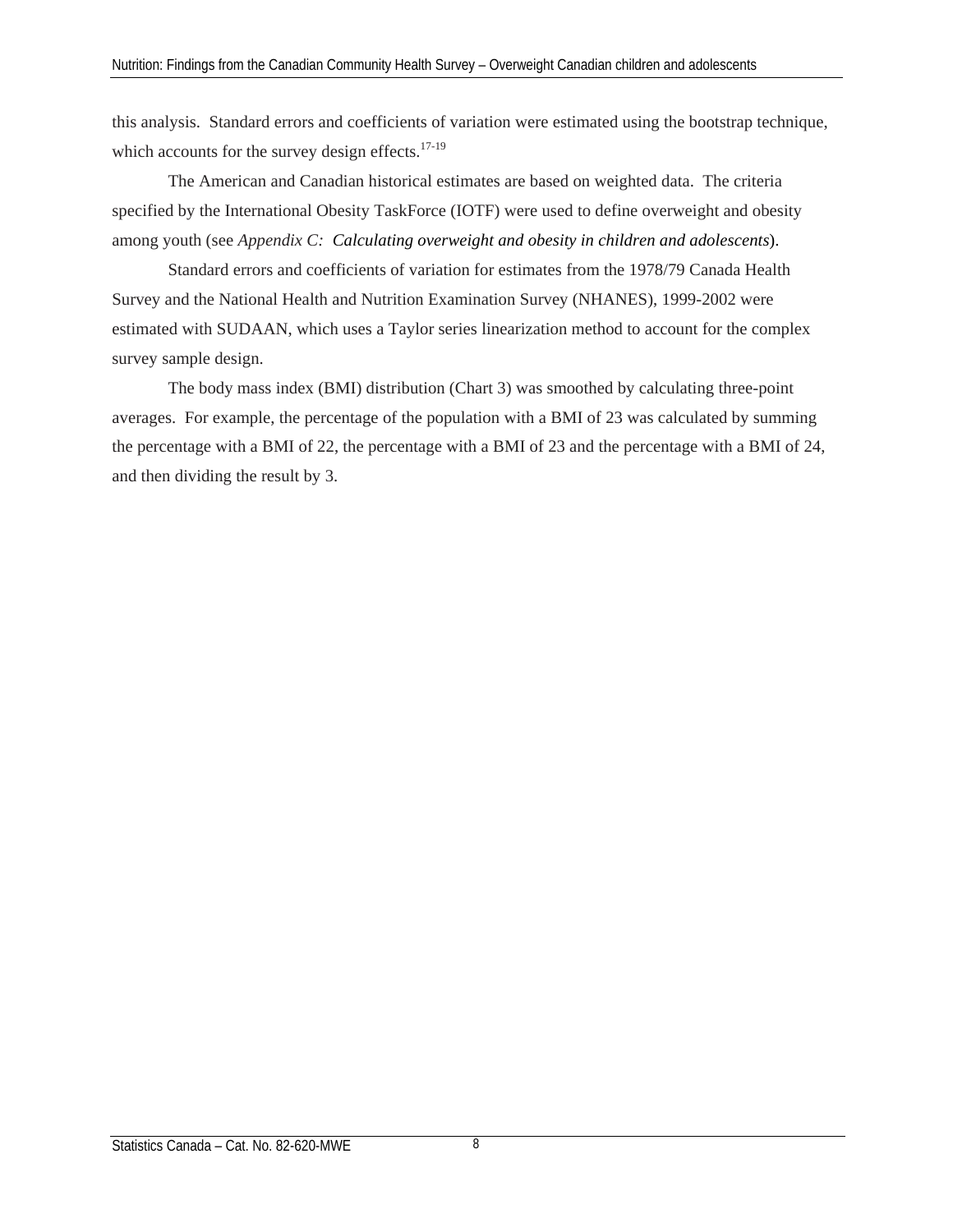this analysis. Standard errors and coefficients of variation were estimated using the bootstrap technique, which accounts for the survey design effects.<sup>17-19</sup>

The American and Canadian historical estimates are based on weighted data. The criteria specified by the International Obesity TaskForce (IOTF) were used to define overweight and obesity among youth (see *Appendix C: Calculating overweight and obesity in children and adolescents*).

Standard errors and coefficients of variation for estimates from the 1978/79 Canada Health Survey and the National Health and Nutrition Examination Survey (NHANES), 1999-2002 were estimated with SUDAAN, which uses a Taylor series linearization method to account for the complex survey sample design.

The body mass index (BMI) distribution (Chart 3) was smoothed by calculating three-point averages. For example, the percentage of the population with a BMI of 23 was calculated by summing the percentage with a BMI of 22, the percentage with a BMI of 23 and the percentage with a BMI of 24, and then dividing the result by 3.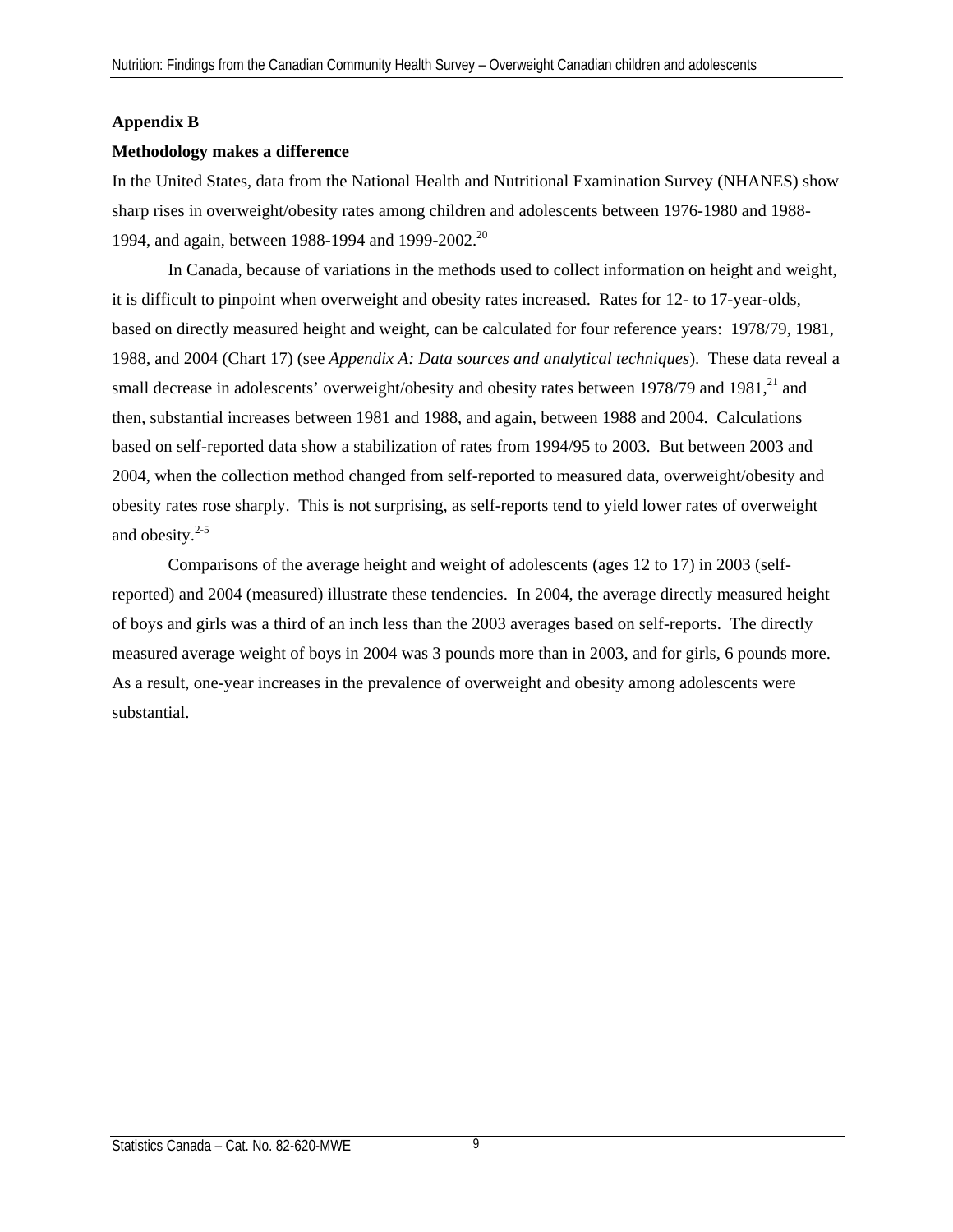## **Appendix B**

#### **Methodology makes a difference**

In the United States, data from the National Health and Nutritional Examination Survey (NHANES) show sharp rises in overweight/obesity rates among children and adolescents between 1976-1980 and 1988- 1994, and again, between 1988-1994 and 1999-2002.<sup>20</sup>

In Canada, because of variations in the methods used to collect information on height and weight, it is difficult to pinpoint when overweight and obesity rates increased. Rates for 12- to 17-year-olds, based on directly measured height and weight, can be calculated for four reference years: 1978/79, 1981, 1988, and 2004 (Chart 17) (see *Appendix A: Data sources and analytical techniques*). These data reveal a small decrease in adolescents' overweight/obesity and obesity rates between 1978/79 and 1981,<sup>21</sup> and then, substantial increases between 1981 and 1988, and again, between 1988 and 2004. Calculations based on self-reported data show a stabilization of rates from 1994/95 to 2003. But between 2003 and 2004, when the collection method changed from self-reported to measured data, overweight/obesity and obesity rates rose sharply. This is not surprising, as self-reports tend to yield lower rates of overweight and obesity. $2-5$ 

Comparisons of the average height and weight of adolescents (ages 12 to 17) in 2003 (selfreported) and 2004 (measured) illustrate these tendencies. In 2004, the average directly measured height of boys and girls was a third of an inch less than the 2003 averages based on self-reports. The directly measured average weight of boys in 2004 was 3 pounds more than in 2003, and for girls, 6 pounds more. As a result, one-year increases in the prevalence of overweight and obesity among adolescents were substantial.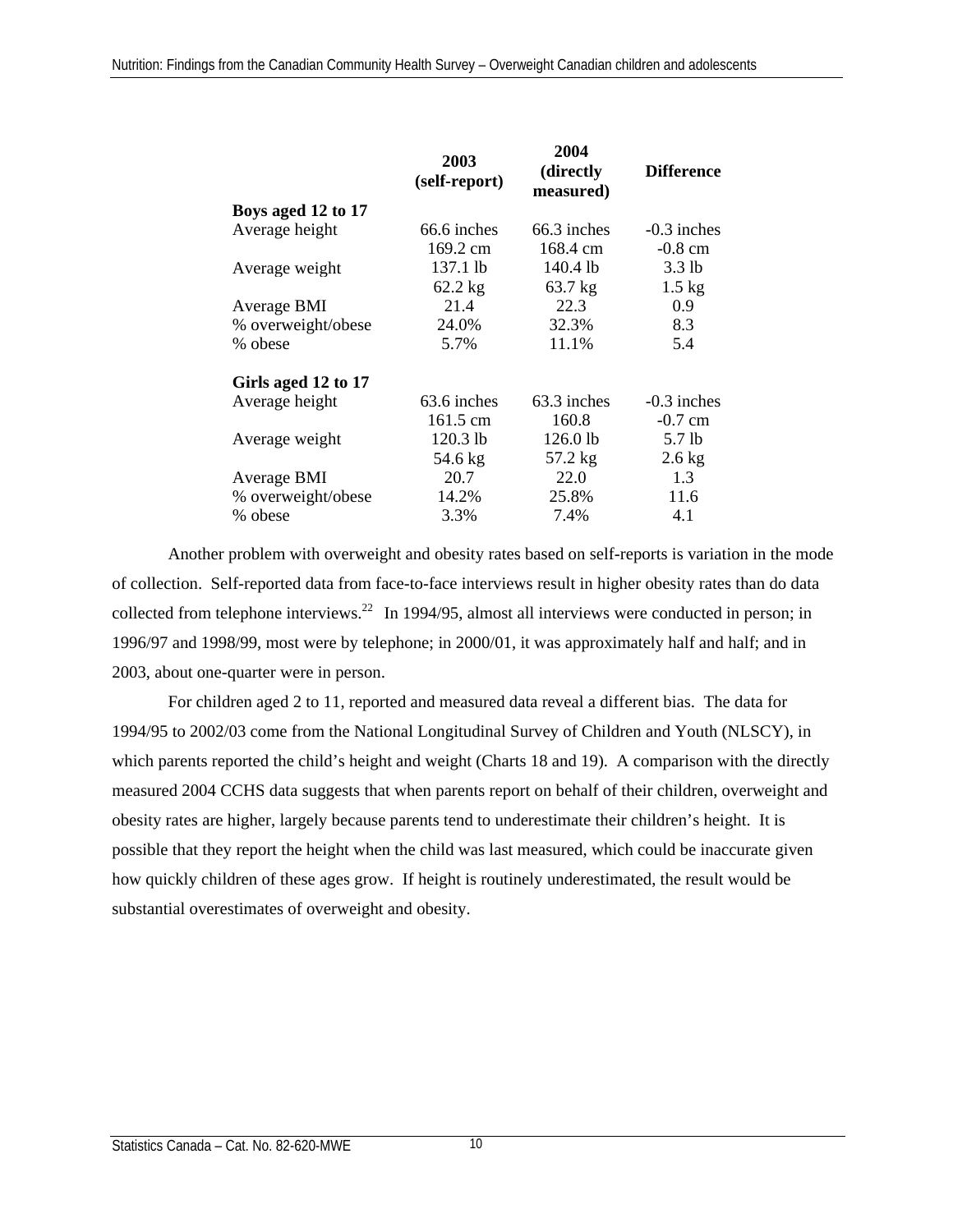|                     | 2003<br>(self-report) | 2004<br>(directly)<br>measured) | <b>Difference</b> |  |
|---------------------|-----------------------|---------------------------------|-------------------|--|
| Boys aged 12 to 17  |                       |                                 |                   |  |
| Average height      | 66.6 inches           | 66.3 inches                     | $-0.3$ inches     |  |
|                     | 169.2 cm              | 168.4 cm                        | $-0.8$ cm         |  |
| Average weight      | 137.1 lb              | $140.4$ lb                      | $3.3$ lb          |  |
|                     | $62.2$ kg             | 63.7 kg                         | $1.5 \text{ kg}$  |  |
| Average BMI         | 21.4                  | 22.3                            | 0.9               |  |
| % overweight/obese  | 24.0%                 | 32.3%                           | 8.3               |  |
| % obese             | 5.7%                  | 11.1%                           | 5.4               |  |
| Girls aged 12 to 17 |                       |                                 |                   |  |
| Average height      | $63.6$ inches         | 63.3 inches                     | $-0.3$ inches     |  |
|                     | 161.5 cm              | 160.8                           | $-0.7$ cm         |  |
| Average weight      | $120.3$ lb            | $126.0$ lb                      | $5.7$ lb          |  |
|                     | 54.6 kg               | 57.2 kg                         | $2.6$ kg          |  |
| Average BMI         | 20.7                  | 22.0                            | 1.3               |  |
| % overweight/obese  | 14.2%                 | 25.8%                           | 11.6              |  |
| % obese             | 3.3%                  | 7.4%                            | 4.1               |  |

Another problem with overweight and obesity rates based on self-reports is variation in the mode of collection. Self-reported data from face-to-face interviews result in higher obesity rates than do data collected from telephone interviews.<sup>22</sup> In 1994/95, almost all interviews were conducted in person; in 1996/97 and 1998/99, most were by telephone; in 2000/01, it was approximately half and half; and in 2003, about one-quarter were in person.

For children aged 2 to 11, reported and measured data reveal a different bias. The data for 1994/95 to 2002/03 come from the National Longitudinal Survey of Children and Youth (NLSCY), in which parents reported the child's height and weight (Charts 18 and 19). A comparison with the directly measured 2004 CCHS data suggests that when parents report on behalf of their children, overweight and obesity rates are higher, largely because parents tend to underestimate their children's height. It is possible that they report the height when the child was last measured, which could be inaccurate given how quickly children of these ages grow. If height is routinely underestimated, the result would be substantial overestimates of overweight and obesity.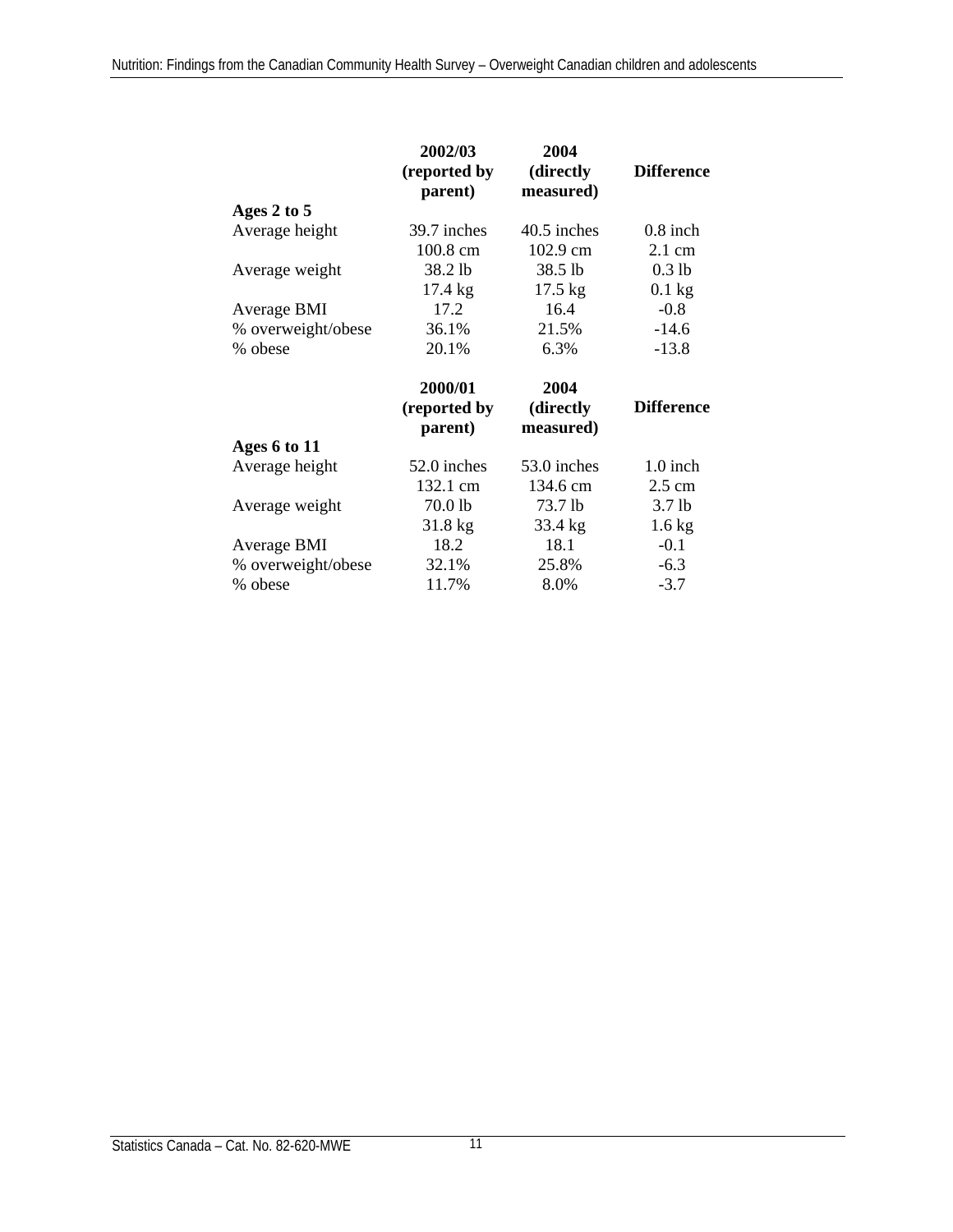|                    | 2004<br>2002/03<br>(reported by<br>(directly<br>parent)<br>measured) |                   | <b>Difference</b> |
|--------------------|----------------------------------------------------------------------|-------------------|-------------------|
| Ages 2 to 5        |                                                                      |                   |                   |
| Average height     | 39.7 inches                                                          | 40.5 inches       | $0.8$ inch        |
|                    | 100.8 cm                                                             | 102.9 cm          | $2.1 \text{ cm}$  |
| Average weight     | 38.2 lb                                                              | 38.5 lb           | $0.3$ lb          |
|                    | $17.4 \text{ kg}$                                                    | $17.5 \text{ kg}$ | $0.1$ kg          |
| Average BMI        | 17.2                                                                 | 16.4              | $-0.8$            |
| % overweight/obese | 36.1%                                                                | 21.5%             | $-14.6$           |
| % obese            | 20.1%                                                                | 6.3%              | $-13.8$           |
|                    |                                                                      |                   |                   |
|                    | 2000/01                                                              | 2004              |                   |
|                    | (reported by                                                         | (directly         | <b>Difference</b> |
|                    | parent)                                                              | measured)         |                   |
| Ages 6 to 11       |                                                                      |                   |                   |
| Average height     | 52.0 inches                                                          | 53.0 inches       | 1.0 inch          |
|                    | 132.1 cm                                                             | 134.6 cm          | $2.5 \text{ cm}$  |
| Average weight     | 70.0 lb                                                              | 73.7 lb           | 3.7 <sub>lb</sub> |
|                    | $31.8 \text{ kg}$                                                    | 33.4 kg           | $1.6 \text{ kg}$  |
| Average BMI        | 18.2                                                                 | 18.1              | $-0.1$            |
| % overweight/obese | 32.1%                                                                | 25.8%             | $-6.3$            |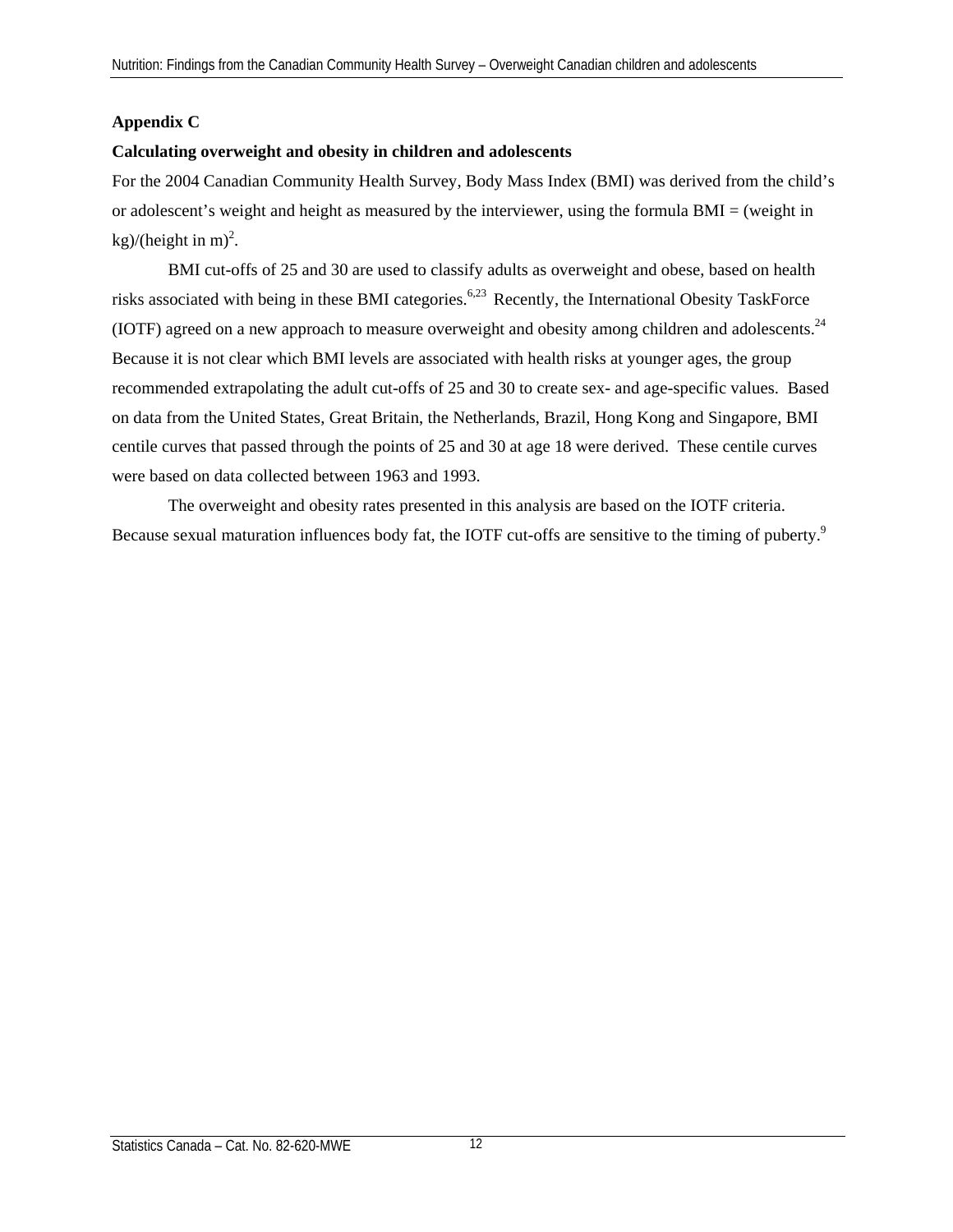# **Appendix C**

## **Calculating overweight and obesity in children and adolescents**

For the 2004 Canadian Community Health Survey, Body Mass Index (BMI) was derived from the child's or adolescent's weight and height as measured by the interviewer, using the formula BMI = (weight in  $\text{kg}$ )/(height in m)<sup>2</sup>.

BMI cut-offs of 25 and 30 are used to classify adults as overweight and obese, based on health risks associated with being in these BMI categories.<sup>6,23</sup> Recently, the International Obesity TaskForce (IOTF) agreed on a new approach to measure overweight and obesity among children and adolescents.<sup>24</sup> Because it is not clear which BMI levels are associated with health risks at younger ages, the group recommended extrapolating the adult cut-offs of 25 and 30 to create sex- and age-specific values. Based on data from the United States, Great Britain, the Netherlands, Brazil, Hong Kong and Singapore, BMI centile curves that passed through the points of 25 and 30 at age 18 were derived. These centile curves were based on data collected between 1963 and 1993.

The overweight and obesity rates presented in this analysis are based on the IOTF criteria. Because sexual maturation influences body fat, the IOTF cut-offs are sensitive to the timing of puberty.<sup>9</sup>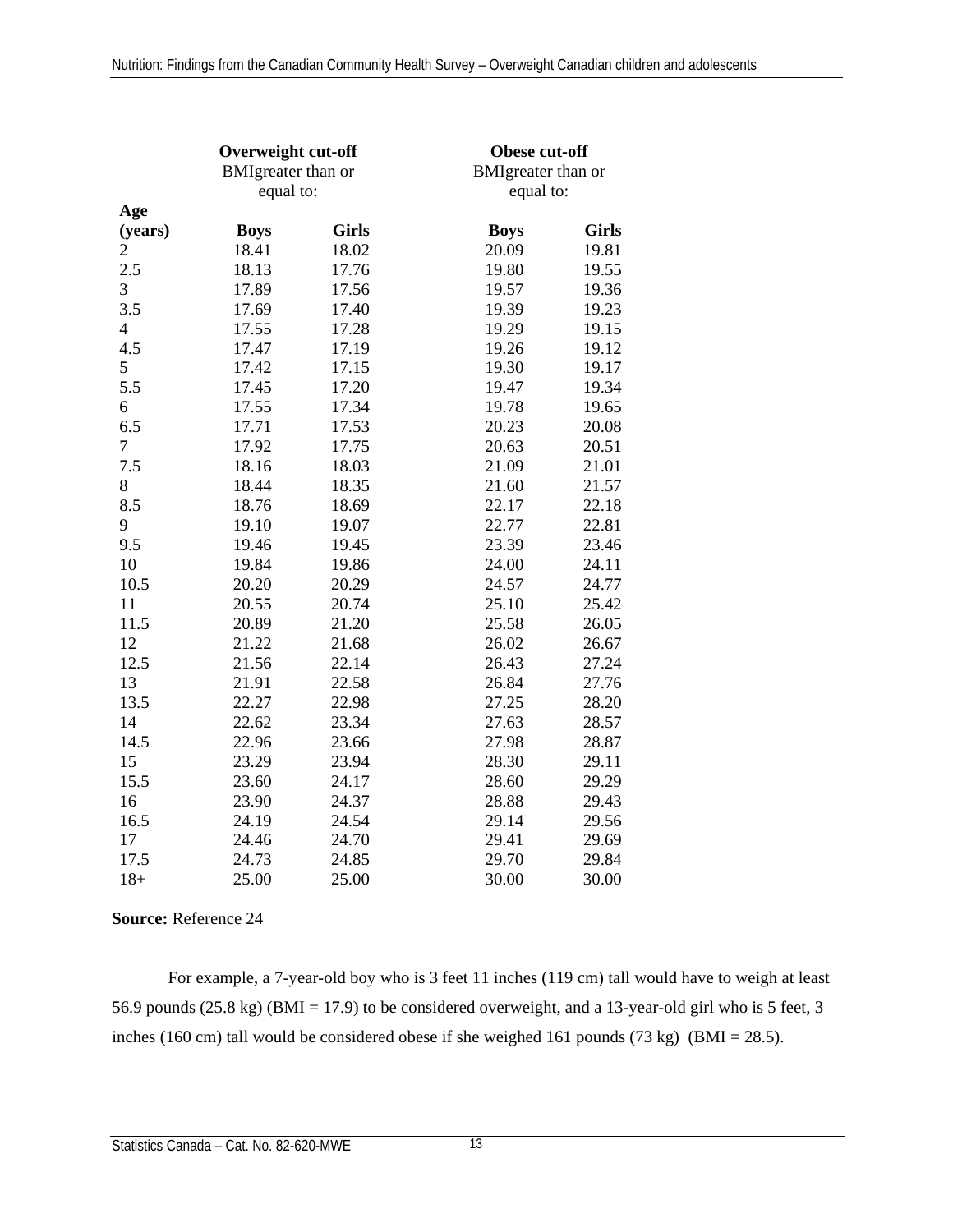|                  | Overweight cut-off<br><b>BMIgreater</b> than or<br>equal to: |              | Obese cut-off<br><b>BMIgreater</b> than or<br>equal to: |              |  |
|------------------|--------------------------------------------------------------|--------------|---------------------------------------------------------|--------------|--|
| Age              |                                                              |              |                                                         |              |  |
| (years)          | <b>Boys</b>                                                  | <b>Girls</b> | <b>Boys</b>                                             | <b>Girls</b> |  |
| 2                | 18.41                                                        | 18.02        | 20.09                                                   | 19.81        |  |
| 2.5              | 18.13                                                        | 17.76        | 19.80                                                   | 19.55        |  |
| 3                | 17.89                                                        | 17.56        | 19.57                                                   | 19.36        |  |
| 3.5              | 17.69                                                        | 17.40        | 19.39                                                   | 19.23        |  |
| $\overline{4}$   | 17.55                                                        | 17.28        | 19.29                                                   | 19.15        |  |
| 4.5              | 17.47                                                        | 17.19        | 19.26                                                   | 19.12        |  |
| 5                | 17.42                                                        | 17.15        | 19.30                                                   | 19.17        |  |
| 5.5              | 17.45                                                        | 17.20        | 19.47                                                   | 19.34        |  |
| 6                | 17.55                                                        | 17.34        | 19.78                                                   | 19.65        |  |
| 6.5              | 17.71                                                        | 17.53        | 20.23                                                   | 20.08        |  |
| $\boldsymbol{7}$ | 17.92                                                        | 17.75        | 20.63                                                   | 20.51        |  |
| 7.5              | 18.16                                                        | 18.03        | 21.09                                                   | 21.01        |  |
| 8                | 18.44                                                        | 18.35        | 21.60                                                   | 21.57        |  |
| 8.5              | 18.76                                                        | 18.69        | 22.17                                                   | 22.18        |  |
| 9                | 19.10                                                        | 19.07        | 22.77                                                   | 22.81        |  |
| 9.5              | 19.46                                                        | 19.45        | 23.39                                                   | 23.46        |  |
| 10               | 19.84                                                        | 19.86        | 24.00                                                   | 24.11        |  |
| 10.5             | 20.20                                                        | 20.29        | 24.57                                                   | 24.77        |  |
| 11               | 20.55                                                        | 20.74        | 25.10                                                   | 25.42        |  |
| 11.5             | 20.89                                                        | 21.20        | 25.58                                                   | 26.05        |  |
| 12               | 21.22                                                        | 21.68        | 26.02                                                   | 26.67        |  |
| 12.5             | 21.56                                                        | 22.14        | 26.43                                                   | 27.24        |  |
| 13               | 21.91                                                        | 22.58        | 26.84                                                   | 27.76        |  |
| 13.5             | 22.27                                                        | 22.98        | 27.25                                                   | 28.20        |  |
| 14               | 22.62                                                        | 23.34        | 27.63                                                   | 28.57        |  |
| 14.5             | 22.96                                                        | 23.66        | 27.98                                                   | 28.87        |  |
| 15               | 23.29                                                        | 23.94        | 28.30                                                   | 29.11        |  |
| 15.5             | 23.60                                                        | 24.17        | 28.60                                                   | 29.29        |  |
| 16               | 23.90                                                        | 24.37        | 28.88                                                   | 29.43        |  |
| 16.5             | 24.19                                                        | 24.54        | 29.14                                                   | 29.56        |  |
| 17               | 24.46                                                        | 24.70        | 29.41                                                   | 29.69        |  |
| 17.5             | 24.73                                                        | 24.85        | 29.70                                                   | 29.84        |  |
| $18 +$           | 25.00                                                        | 25.00        | 30.00                                                   | 30.00        |  |

**Source:** Reference 24

For example, a 7-year-old boy who is 3 feet 11 inches (119 cm) tall would have to weigh at least 56.9 pounds (25.8 kg) (BMI = 17.9) to be considered overweight, and a 13-year-old girl who is 5 feet, 3 inches (160 cm) tall would be considered obese if she weighed 161 pounds (73 kg) (BMI = 28.5).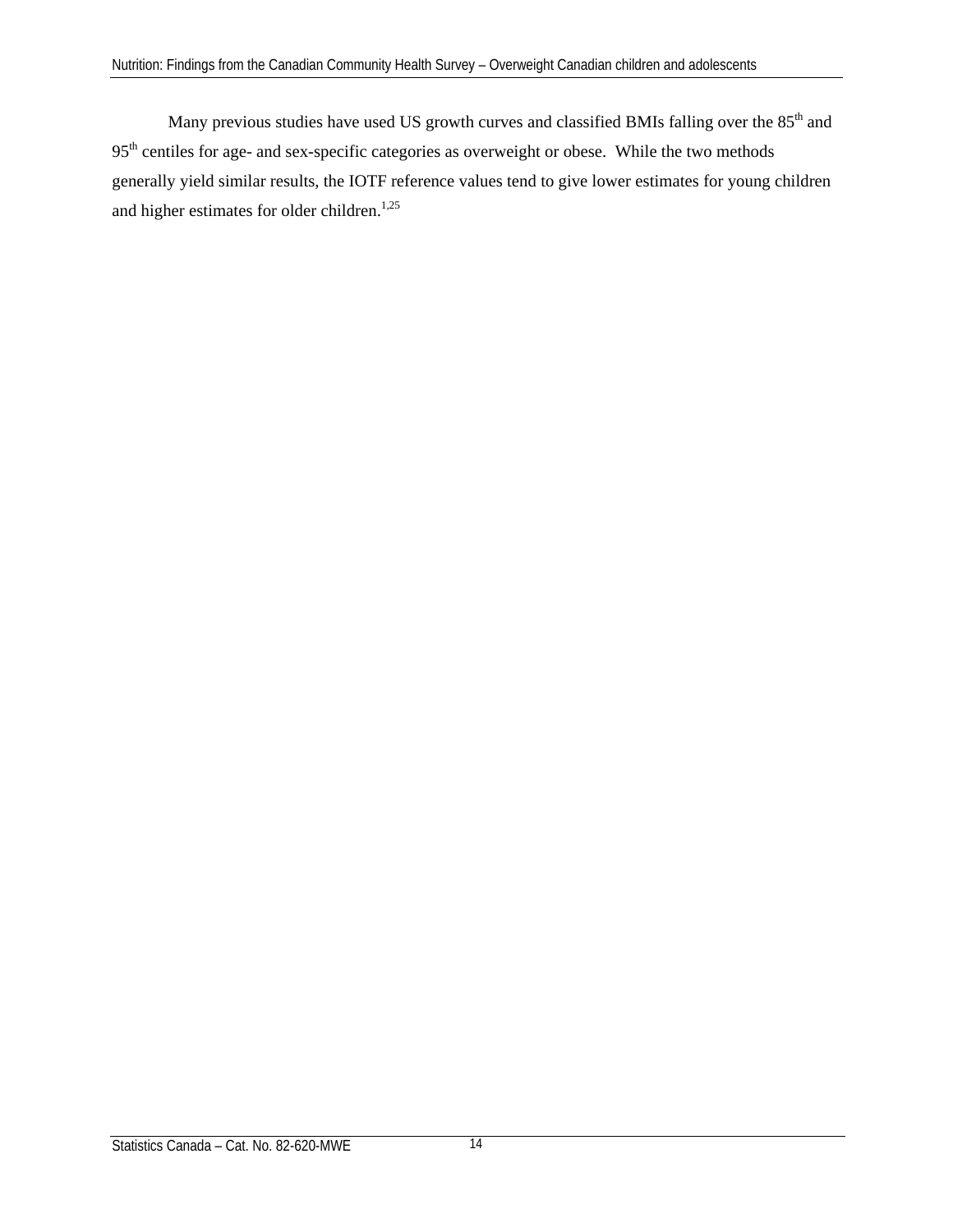Many previous studies have used US growth curves and classified BMIs falling over the 85<sup>th</sup> and 95<sup>th</sup> centiles for age- and sex-specific categories as overweight or obese. While the two methods generally yield similar results, the IOTF reference values tend to give lower estimates for young children and higher estimates for older children. $1,25$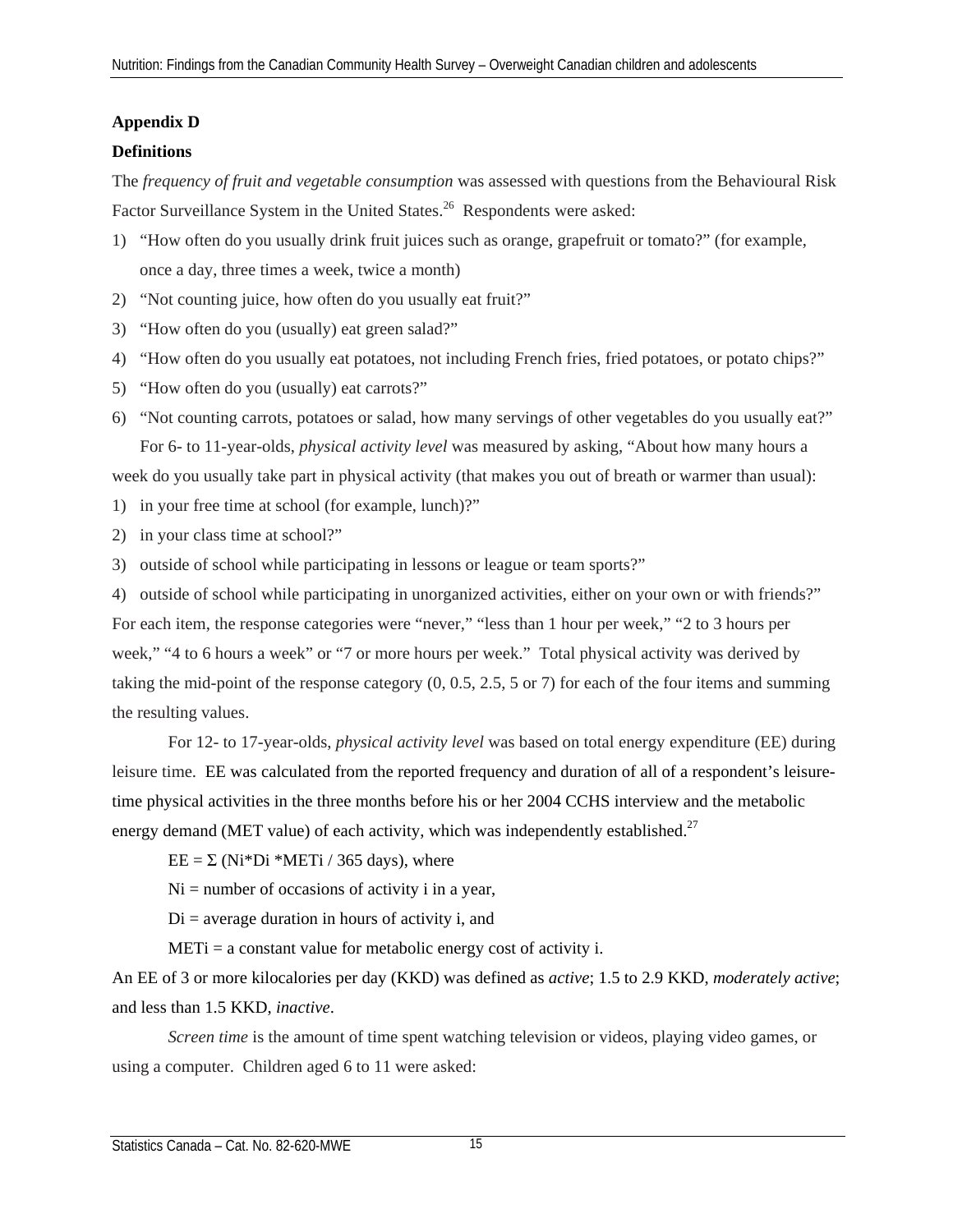# **Appendix D**

## **Definitions**

The *frequency of fruit and vegetable consumption* was assessed with questions from the Behavioural Risk Factor Surveillance System in the United States.<sup>26</sup> Respondents were asked:

- 1) "How often do you usually drink fruit juices such as orange, grapefruit or tomato?" (for example, once a day, three times a week, twice a month)
- 2) "Not counting juice, how often do you usually eat fruit?"
- 3) "How often do you (usually) eat green salad?"
- 4) "How often do you usually eat potatoes, not including French fries, fried potatoes, or potato chips?"
- 5) "How often do you (usually) eat carrots?"
- 6) "Not counting carrots, potatoes or salad, how many servings of other vegetables do you usually eat?" For 6- to 11-year-olds, *physical activity level* was measured by asking, "About how many hours a

week do you usually take part in physical activity (that makes you out of breath or warmer than usual):

- 1) in your free time at school (for example, lunch)?"
- 2) in your class time at school?"
- 3) outside of school while participating in lessons or league or team sports?"

4) outside of school while participating in unorganized activities, either on your own or with friends?" For each item, the response categories were "never," "less than 1 hour per week," "2 to 3 hours per week," "4 to 6 hours a week" or "7 or more hours per week." Total physical activity was derived by taking the mid-point of the response category (0, 0.5, 2.5, 5 or 7) for each of the four items and summing the resulting values.

For 12- to 17-year-olds, *physical activity level* was based on total energy expenditure (EE) during leisure time. EE was calculated from the reported frequency and duration of all of a respondent's leisuretime physical activities in the three months before his or her 2004 CCHS interview and the metabolic energy demand (MET value) of each activity, which was independently established.<sup>27</sup>

 $EE = \Sigma (Ni*Di * METi / 365 \text{ days})$ , where

 $Ni =$  number of occasions of activity i in a year,

 $Di = average duration in hours of activity i, and$ 

 $METi = a constant value for metabolic energy cost of activity i.$ 

An EE of 3 or more kilocalories per day (KKD) was defined as *active*; 1.5 to 2.9 KKD, *moderately active*; and less than 1.5 KKD, *inactive*.

*Screen time* is the amount of time spent watching television or videos, playing video games, or using a computer. Children aged 6 to 11 were asked: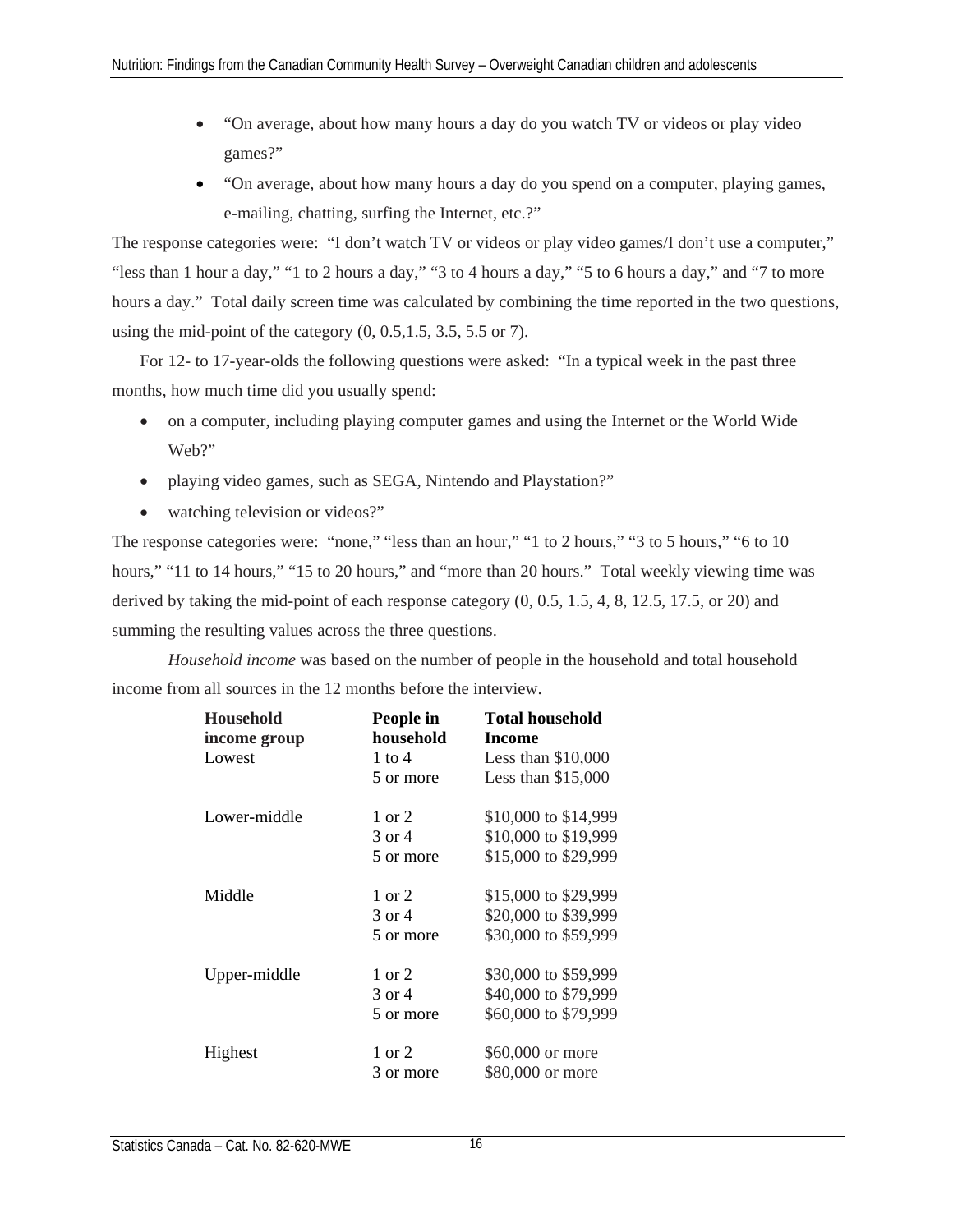- "On average, about how many hours a day do you watch TV or videos or play video games?"
- "On average, about how many hours a day do you spend on a computer, playing games, e-mailing, chatting, surfing the Internet, etc.?"

The response categories were: "I don't watch TV or videos or play video games/I don't use a computer," "less than 1 hour a day," "1 to 2 hours a day," "3 to 4 hours a day," "5 to 6 hours a day," and "7 to more hours a day." Total daily screen time was calculated by combining the time reported in the two questions, using the mid-point of the category  $(0, 0.5, 1.5, 3.5, 5.5, 0.7)$ .

For 12- to 17-year-olds the following questions were asked: "In a typical week in the past three months, how much time did you usually spend:

- on a computer, including playing computer games and using the Internet or the World Wide Web?"
- playing video games, such as SEGA, Nintendo and Playstation?"
- watching television or videos?"

The response categories were: "none," "less than an hour," "1 to 2 hours," "3 to 5 hours," "6 to 10 hours," "11 to 14 hours," "15 to 20 hours," and "more than 20 hours." Total weekly viewing time was derived by taking the mid-point of each response category (0, 0.5, 1.5, 4, 8, 12.5, 17.5, or 20) and summing the resulting values across the three questions.

*Household income* was based on the number of people in the household and total household income from all sources in the 12 months before the interview.

| <b>Household</b><br>income group | People in<br>household | <b>Total household</b><br>Income |
|----------------------------------|------------------------|----------------------------------|
| Lowest                           | 1 to 4                 | Less than $$10,000$              |
|                                  | 5 or more              | Less than $$15,000$              |
| Lower-middle                     | $1 \text{ or } 2$      | \$10,000 to \$14,999             |
|                                  | 3 or 4                 | \$10,000 to \$19,999             |
|                                  | 5 or more              | \$15,000 to \$29,999             |
| Middle                           | $1 \text{ or } 2$      | \$15,000 to \$29,999             |
|                                  | 3 or 4                 | \$20,000 to \$39,999             |
|                                  | 5 or more              | \$30,000 to \$59,999             |
| Upper-middle                     | 1 or 2                 | \$30,000 to \$59,999             |
|                                  | 3 or 4                 | \$40,000 to \$79,999             |
|                                  | 5 or more              | \$60,000 to \$79,999             |
| Highest                          | $1 \text{ or } 2$      | \$60,000 or more                 |
|                                  | 3 or more              | \$80,000 or more                 |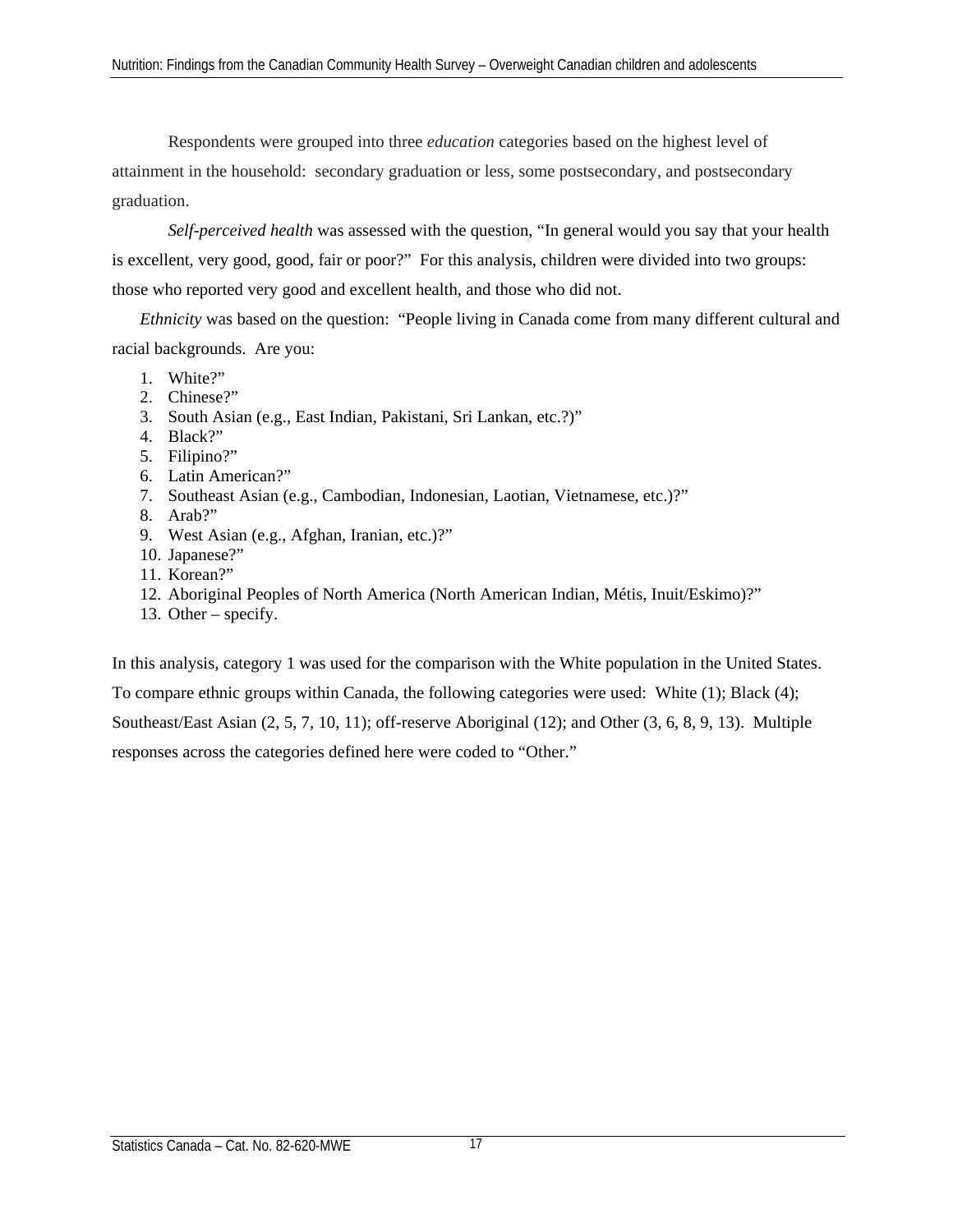Respondents were grouped into three *education* categories based on the highest level of attainment in the household: secondary graduation or less, some postsecondary, and postsecondary graduation.

*Self-perceived health* was assessed with the question, "In general would you say that your health is excellent, very good, good, fair or poor?" For this analysis, children were divided into two groups: those who reported very good and excellent health, and those who did not.

*Ethnicity* was based on the question: "People living in Canada come from many different cultural and racial backgrounds. Are you:

- 1. White?"
- 2. Chinese?"
- 3. South Asian (e.g., East Indian, Pakistani, Sri Lankan, etc.?)"
- 4. Black?"
- 5. Filipino?"
- 6. Latin American?"
- 7. Southeast Asian (e.g., Cambodian, Indonesian, Laotian, Vietnamese, etc.)?"
- 8. Arab?"
- 9. West Asian (e.g., Afghan, Iranian, etc.)?"
- 10. Japanese?"
- 11. Korean?"
- 12. Aboriginal Peoples of North America (North American Indian, Métis, Inuit/Eskimo)?"
- 13. Other specify.

In this analysis, category 1 was used for the comparison with the White population in the United States. To compare ethnic groups within Canada, the following categories were used: White (1); Black (4); Southeast/East Asian (2, 5, 7, 10, 11); off-reserve Aboriginal (12); and Other (3, 6, 8, 9, 13). Multiple responses across the categories defined here were coded to "Other."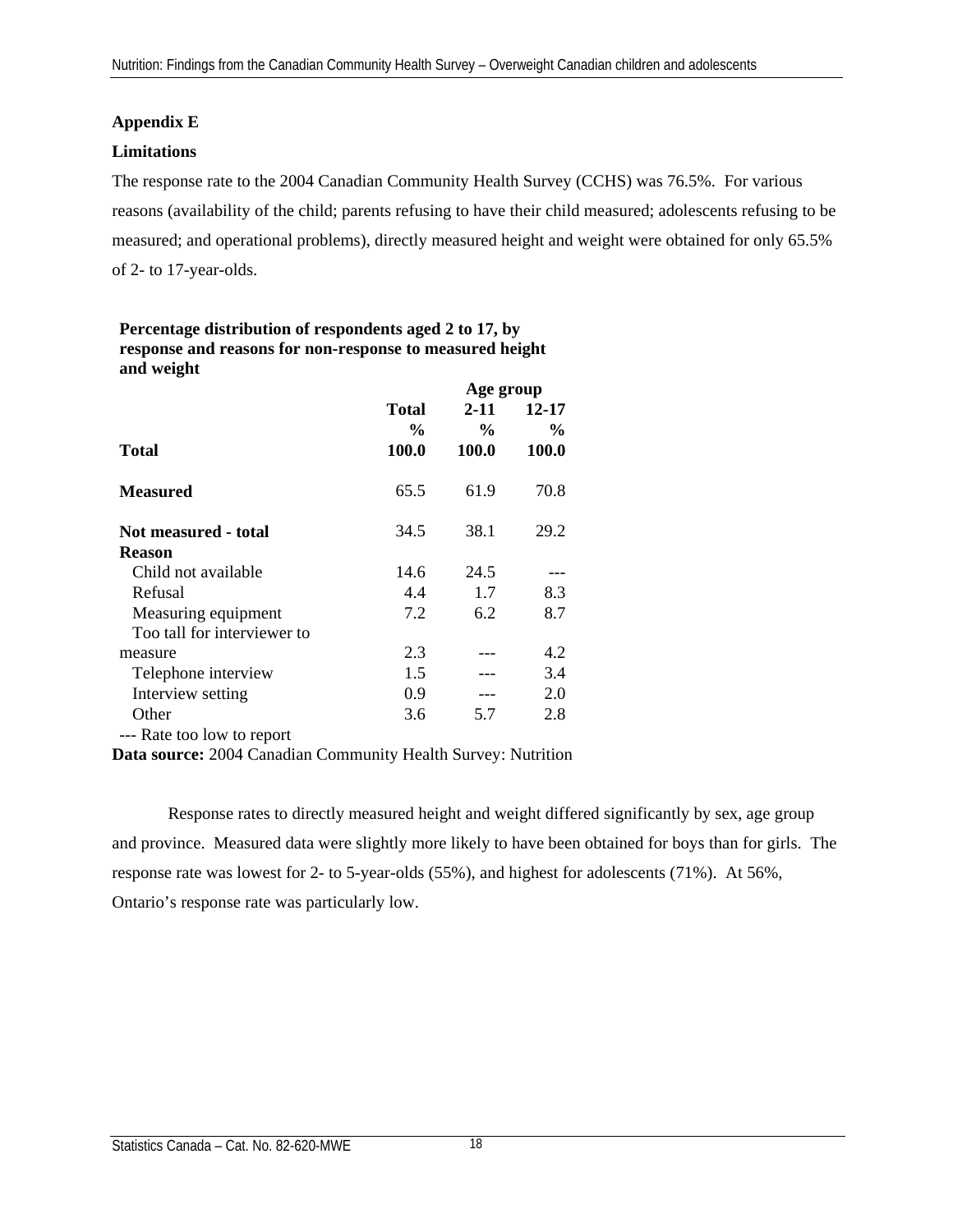# **Appendix E**

## **Limitations**

The response rate to the 2004 Canadian Community Health Survey (CCHS) was 76.5%. For various reasons (availability of the child; parents refusing to have their child measured; adolescents refusing to be measured; and operational problems), directly measured height and weight were obtained for only 65.5% of 2- to 17-year-olds.

| Percentage distribution of respondents aged 2 to 17, by  |                |
|----------------------------------------------------------|----------------|
| response and reasons for non-response to measured height |                |
| and weight                                               | $\blacksquare$ |

|                             |                                | Age group                 |                        |  |  |  |
|-----------------------------|--------------------------------|---------------------------|------------------------|--|--|--|
|                             | <b>Total</b><br>$\frac{6}{10}$ | $2 - 11$<br>$\frac{0}{0}$ | 12-17<br>$\frac{0}{0}$ |  |  |  |
| Total                       | 100.0                          | 100.0                     | <b>100.0</b>           |  |  |  |
| <b>Measured</b>             | 65.5                           | 61.9                      | 70.8                   |  |  |  |
| Not measured - total        | 34.5                           | 38.1                      | 29.2                   |  |  |  |
| <b>Reason</b>               |                                |                           |                        |  |  |  |
| Child not available         | 14.6                           | 24.5                      |                        |  |  |  |
| Refusal                     | 4.4                            | 1.7                       | 8.3                    |  |  |  |
| Measuring equipment         | 7.2                            | 6.2                       | 8.7                    |  |  |  |
| Too tall for interviewer to |                                |                           |                        |  |  |  |
| measure                     | 2.3                            |                           | 4.2                    |  |  |  |
| Telephone interview         | 1.5                            |                           | 3.4                    |  |  |  |
| Interview setting           | 0.9                            |                           | 2.0                    |  |  |  |
| Other                       | 3.6                            | 5.7                       | 2.8                    |  |  |  |
| --- Rate too low to report  |                                |                           |                        |  |  |  |

**Data source:** 2004 Canadian Community Health Survey: Nutrition

Response rates to directly measured height and weight differed significantly by sex, age group and province. Measured data were slightly more likely to have been obtained for boys than for girls. The response rate was lowest for 2- to 5-year-olds (55%), and highest for adolescents (71%). At 56%, Ontario's response rate was particularly low.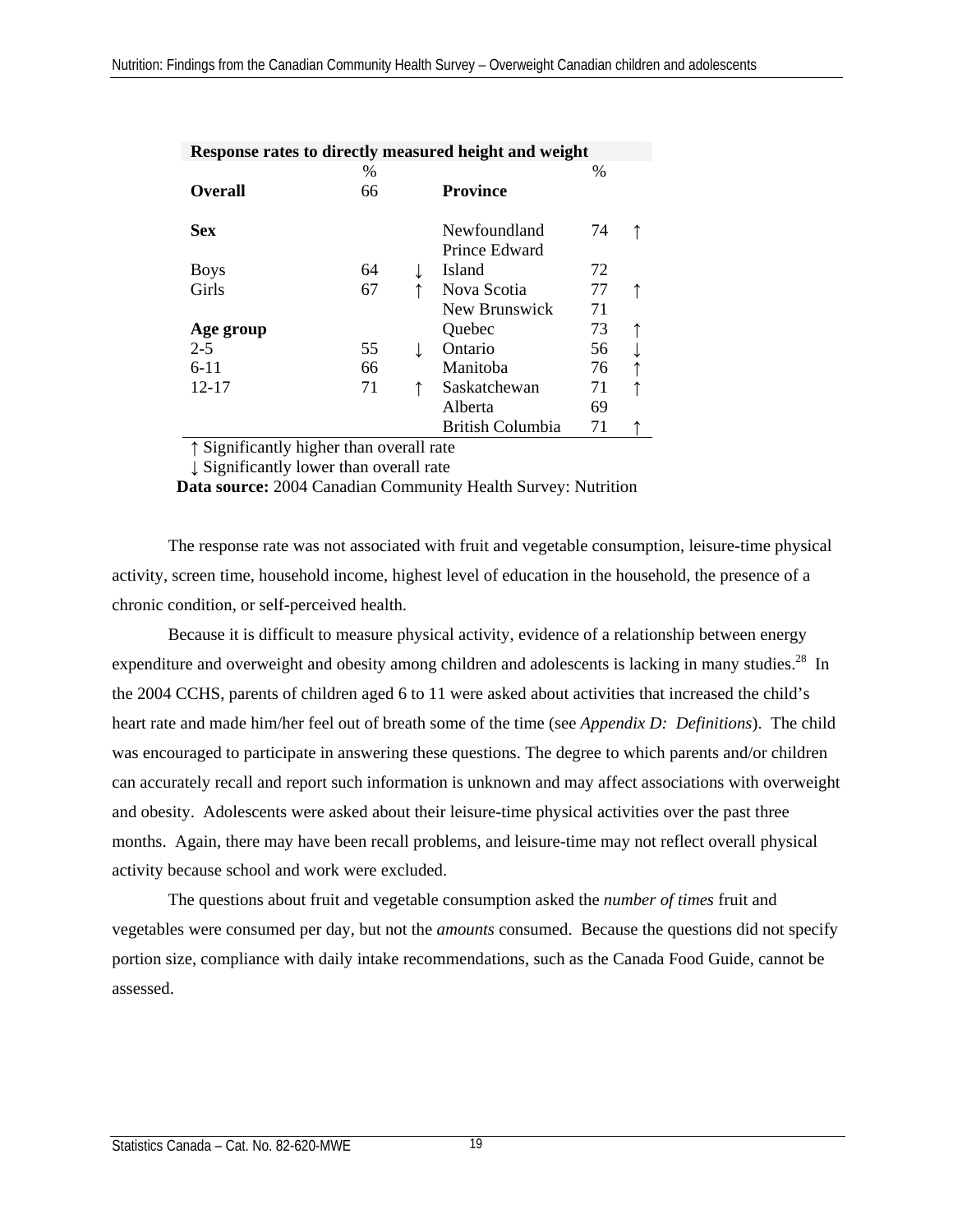|                |    | Response rates to directly measured height and weight |      |  |
|----------------|----|-------------------------------------------------------|------|--|
|                | %  |                                                       | $\%$ |  |
| <b>Overall</b> | 66 | <b>Province</b>                                       |      |  |
| <b>Sex</b>     |    | Newfoundland                                          | 74   |  |
|                |    | Prince Edward                                         |      |  |
| <b>Boys</b>    | 64 | Island                                                | 72   |  |
| Girls          | 67 | Nova Scotia                                           | 77   |  |
|                |    | New Brunswick                                         | 71   |  |
| Age group      |    | Quebec                                                | 73   |  |
| $2 - 5$        | 55 | Ontario                                               | 56   |  |
| $6-11$         | 66 | Manitoba                                              | 76   |  |
| 12-17          | 71 | Saskatchewan                                          | 71   |  |
|                |    | Alberta                                               | 69   |  |
|                |    | <b>British Columbia</b>                               | 71   |  |

**Response rates to directly measured height and weight**

↑ Significantly higher than overall rate

↓ Significantly lower than overall rate

 **Data source:** 2004 Canadian Community Health Survey: Nutrition

The response rate was not associated with fruit and vegetable consumption, leisure-time physical activity, screen time, household income, highest level of education in the household, the presence of a chronic condition, or self-perceived health.

Because it is difficult to measure physical activity, evidence of a relationship between energy expenditure and overweight and obesity among children and adolescents is lacking in many studies.<sup>28</sup> In the 2004 CCHS, parents of children aged 6 to 11 were asked about activities that increased the child's heart rate and made him/her feel out of breath some of the time (see *Appendix D: Definitions*). The child was encouraged to participate in answering these questions. The degree to which parents and/or children can accurately recall and report such information is unknown and may affect associations with overweight and obesity. Adolescents were asked about their leisure-time physical activities over the past three months. Again, there may have been recall problems, and leisure-time may not reflect overall physical activity because school and work were excluded.

The questions about fruit and vegetable consumption asked the *number of times* fruit and vegetables were consumed per day, but not the *amounts* consumed. Because the questions did not specify portion size, compliance with daily intake recommendations, such as the Canada Food Guide, cannot be assessed.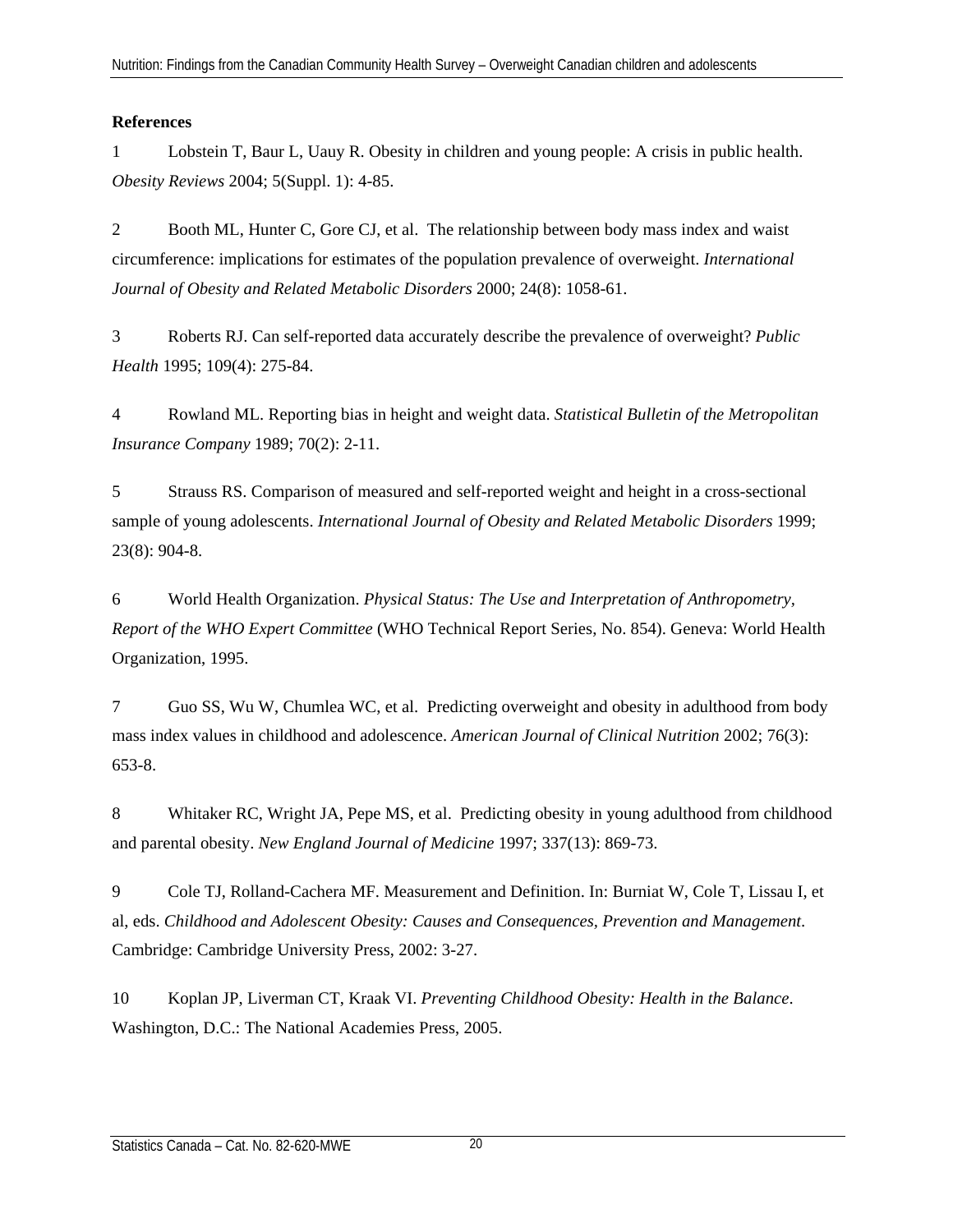# **References**

1 Lobstein T, Baur L, Uauy R. Obesity in children and young people: A crisis in public health. *Obesity Reviews* 2004; 5(Suppl. 1): 4-85.

2 Booth ML, Hunter C, Gore CJ, et al. The relationship between body mass index and waist circumference: implications for estimates of the population prevalence of overweight. *International Journal of Obesity and Related Metabolic Disorders* 2000; 24(8): 1058-61.

3 Roberts RJ. Can self-reported data accurately describe the prevalence of overweight? *Public Health* 1995; 109(4): 275-84.

4 Rowland ML. Reporting bias in height and weight data. *Statistical Bulletin of the Metropolitan Insurance Company* 1989; 70(2): 2-11.

5 Strauss RS. Comparison of measured and self-reported weight and height in a cross-sectional sample of young adolescents. *International Journal of Obesity and Related Metabolic Disorders* 1999; 23(8): 904-8.

6 World Health Organization. *Physical Status: The Use and Interpretation of Anthropometry, Report of the WHO Expert Committee* (WHO Technical Report Series, No. 854). Geneva: World Health Organization, 1995.

7 Guo SS, Wu W, Chumlea WC, et al. Predicting overweight and obesity in adulthood from body mass index values in childhood and adolescence. *American Journal of Clinical Nutrition* 2002; 76(3): 653-8.

8 Whitaker RC, Wright JA, Pepe MS, et al. Predicting obesity in young adulthood from childhood and parental obesity. *New England Journal of Medicine* 1997; 337(13): 869-73.

9 Cole TJ, Rolland-Cachera MF. Measurement and Definition. In: Burniat W, Cole T, Lissau I, et al, eds. *Childhood and Adolescent Obesity: Causes and Consequences, Prevention and Management*. Cambridge: Cambridge University Press, 2002: 3-27.

10 Koplan JP, Liverman CT, Kraak VI. *Preventing Childhood Obesity: Health in the Balance*. Washington, D.C.: The National Academies Press, 2005.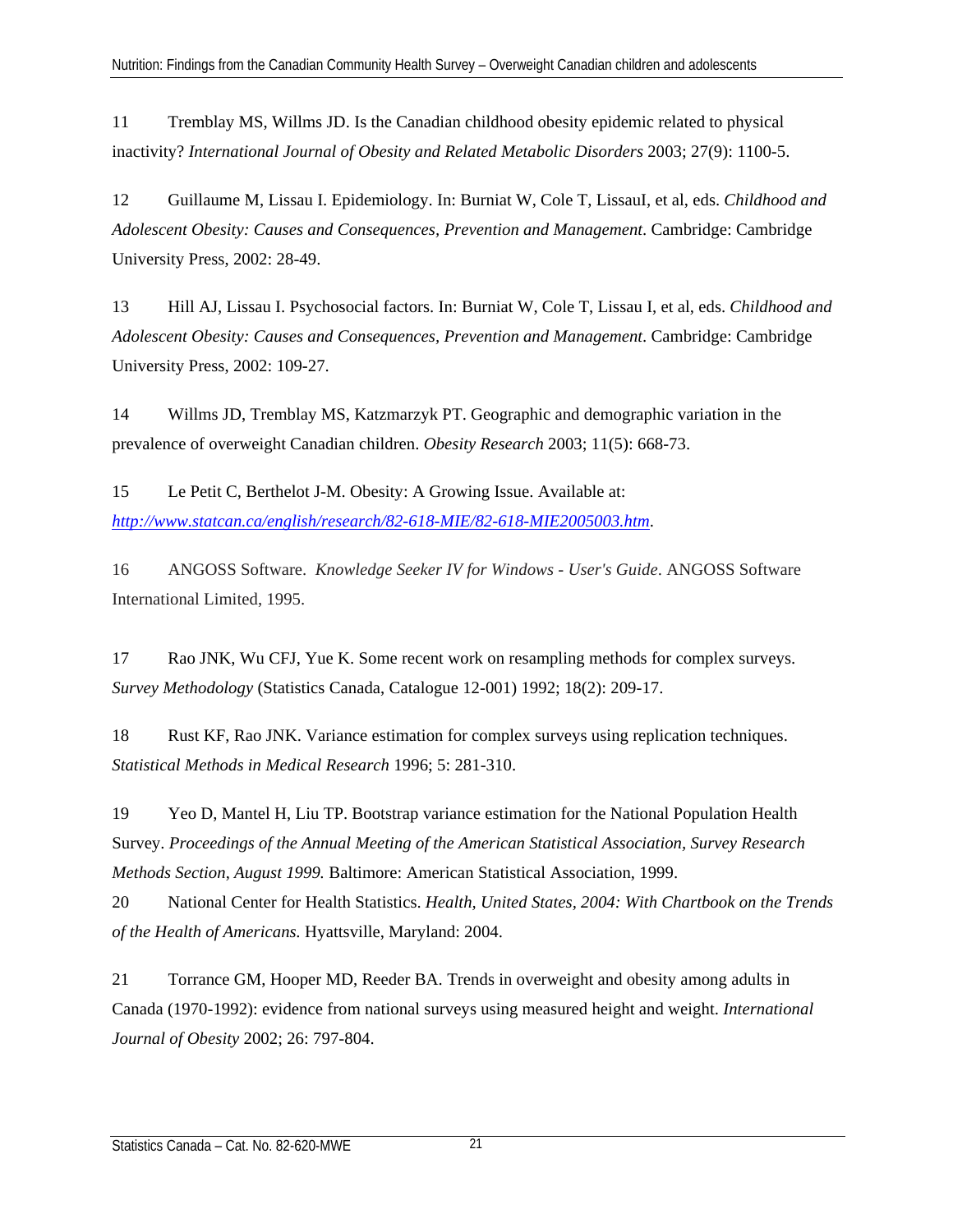11 Tremblay MS, Willms JD. Is the Canadian childhood obesity epidemic related to physical inactivity? *International Journal of Obesity and Related Metabolic Disorders* 2003; 27(9): 1100-5.

12 Guillaume M, Lissau I. Epidemiology. In: Burniat W, Cole T, LissauI, et al, eds. *Childhood and Adolescent Obesity: Causes and Consequences, Prevention and Management*. Cambridge: Cambridge University Press, 2002: 28-49.

13 Hill AJ, Lissau I. Psychosocial factors. In: Burniat W, Cole T, Lissau I, et al, eds. *Childhood and Adolescent Obesity: Causes and Consequences, Prevention and Management*. Cambridge: Cambridge University Press, 2002: 109-27.

14 Willms JD, Tremblay MS, Katzmarzyk PT. Geographic and demographic variation in the prevalence of overweight Canadian children. *Obesity Research* 2003; 11(5): 668-73.

15 Le Petit C, Berthelot J-M. Obesity: A Growing Issue. Available at: *http://www.statcan.ca/english/research/82-618-MIE/82-618-MIE2005003.htm*.

16 ANGOSS Software. *Knowledge Seeker IV for Windows - User's Guide*. ANGOSS Software International Limited, 1995.

17 Rao JNK, Wu CFJ, Yue K. Some recent work on resampling methods for complex surveys. *Survey Methodology* (Statistics Canada, Catalogue 12-001) 1992; 18(2): 209-17.

18 Rust KF, Rao JNK. Variance estimation for complex surveys using replication techniques. *Statistical Methods in Medical Research* 1996; 5: 281-310.

19 Yeo D, Mantel H, Liu TP. Bootstrap variance estimation for the National Population Health Survey. *Proceedings of the Annual Meeting of the American Statistical Association, Survey Research Methods Section*, *August 1999.* Baltimore: American Statistical Association, 1999.

20 National Center for Health Statistics. *Health, United States, 2004: With Chartbook on the Trends of the Health of Americans.* Hyattsville, Maryland: 2004.

21 Torrance GM, Hooper MD, Reeder BA. Trends in overweight and obesity among adults in Canada (1970-1992): evidence from national surveys using measured height and weight. *International Journal of Obesity* 2002; 26: 797-804.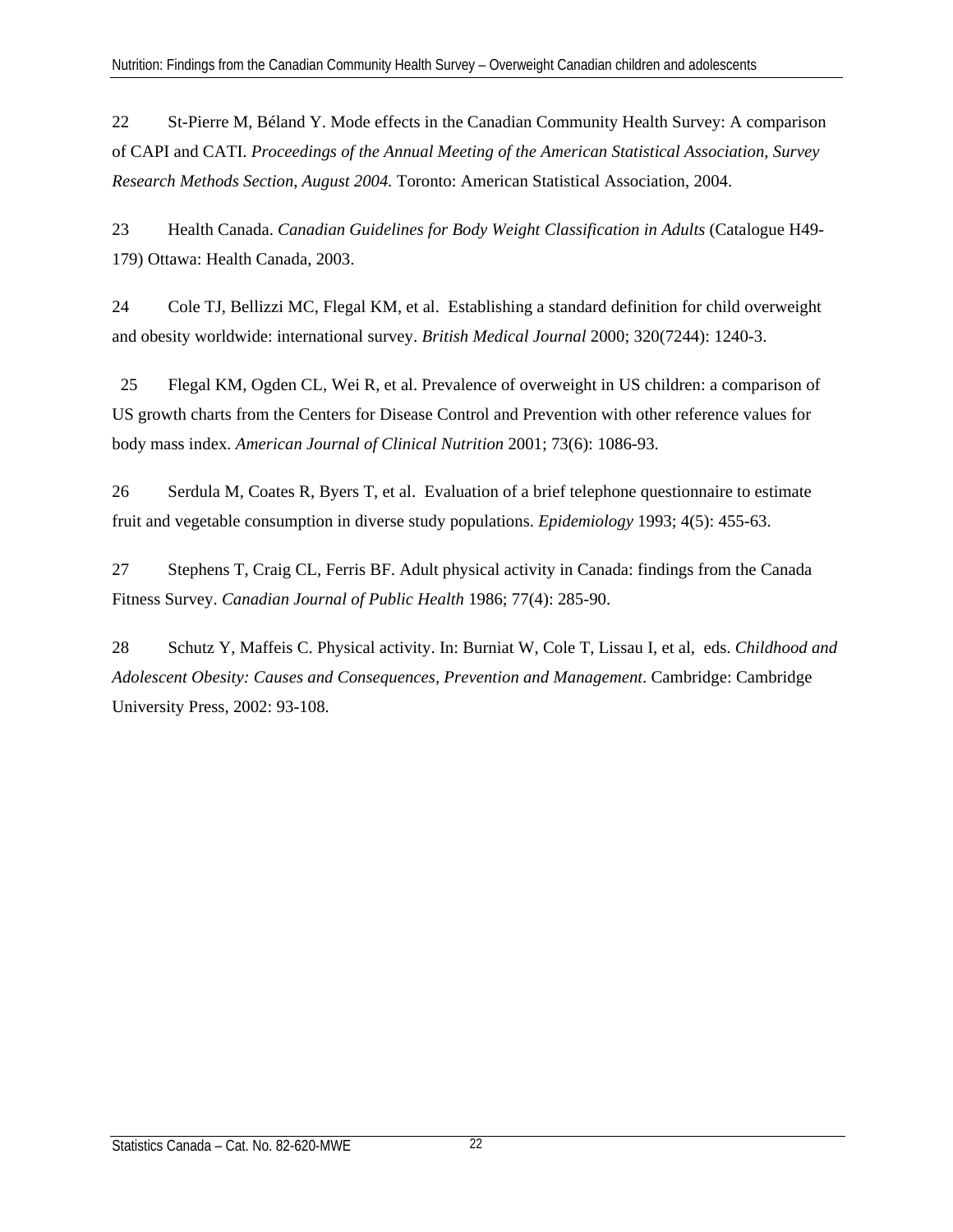22 St-Pierre M, Béland Y. Mode effects in the Canadian Community Health Survey: A comparison of CAPI and CATI. *Proceedings of the Annual Meeting of the American Statistical Association, Survey Research Methods Section*, *August 2004.* Toronto: American Statistical Association, 2004.

23 Health Canada. *Canadian Guidelines for Body Weight Classification in Adults* (Catalogue H49- 179) Ottawa: Health Canada, 2003.

24 Cole TJ, Bellizzi MC, Flegal KM, et al. Establishing a standard definition for child overweight and obesity worldwide: international survey. *British Medical Journal* 2000; 320(7244): 1240-3.

 25 Flegal KM, Ogden CL, Wei R, et al. Prevalence of overweight in US children: a comparison of US growth charts from the Centers for Disease Control and Prevention with other reference values for body mass index. *American Journal of Clinical Nutrition* 2001; 73(6): 1086-93.

26 Serdula M, Coates R, Byers T, et al. Evaluation of a brief telephone questionnaire to estimate fruit and vegetable consumption in diverse study populations. *Epidemiology* 1993; 4(5): 455-63.

27 Stephens T, Craig CL, Ferris BF. Adult physical activity in Canada: findings from the Canada Fitness Survey. *Canadian Journal of Public Health* 1986; 77(4): 285-90.

28 Schutz Y, Maffeis C. Physical activity. In: Burniat W, Cole T, Lissau I, et al, eds. *Childhood and Adolescent Obesity: Causes and Consequences, Prevention and Management*. Cambridge: Cambridge University Press, 2002: 93-108.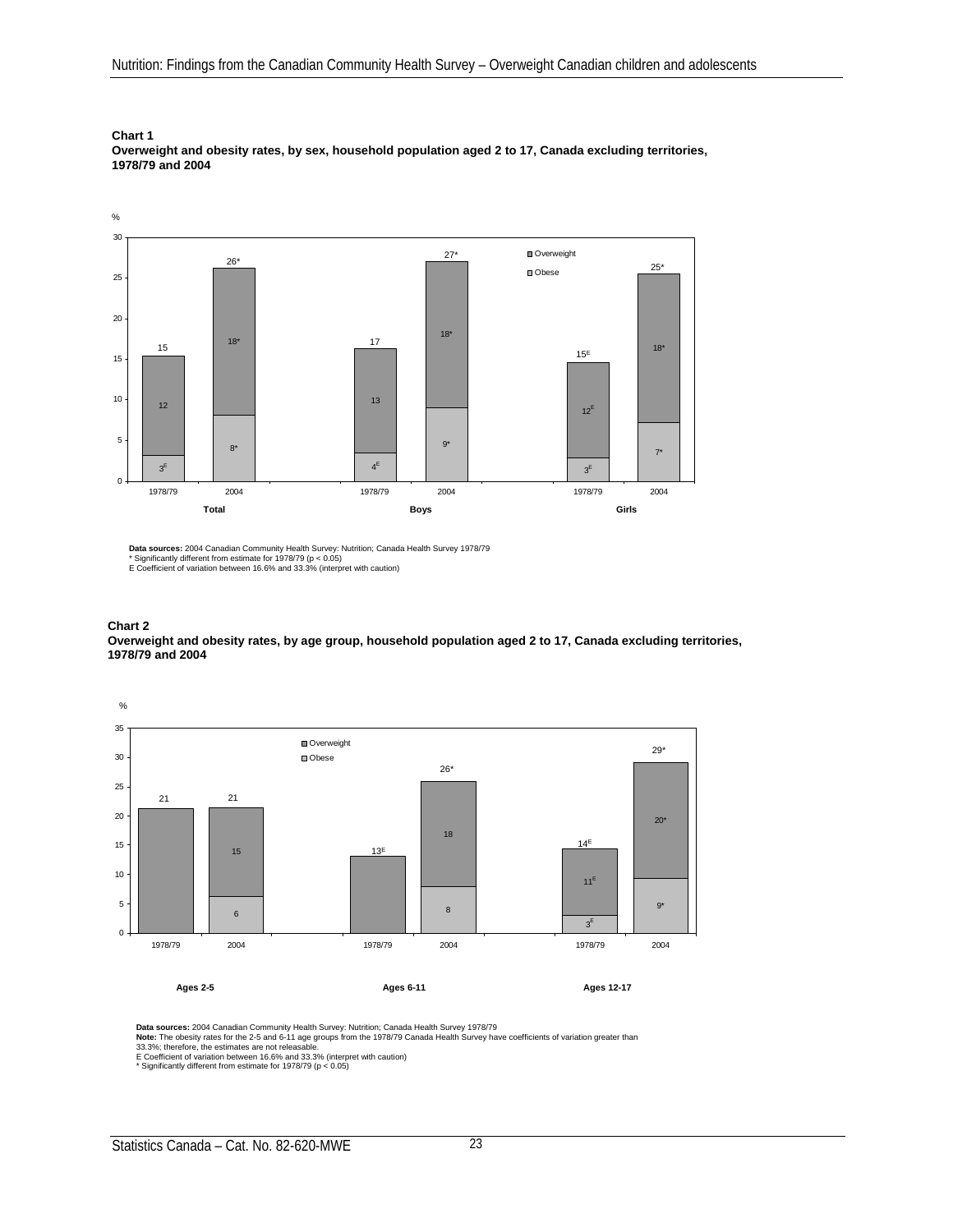**Overweight and obesity rates, by sex, household population aged 2 to 17, Canada excluding territories, 1978/79 and 2004**



**Data sources:** 2004 Canadian Community Health Survey: Nutrition; Canada Health Survey 1978/79<br>\* Significantly different from estimate for 1978/79 (p < 0.05)<br>E Coefficient of variation between 16.6% and 33.3% (interpret wi

**Chart 2**

**Overweight and obesity rates, by age group, household population aged 2 to 17, Canada excluding territories, 1978/79 and 2004**



**Data sources:** 2004 Canadian Community Health Survey: Nutrition; Canada Health Survey 1978/79

**Note:** The obesity rates for the 2-5 and 6-11 age groups from the 1978/79 Canada Health Survey have coefficients of variation greater than<br>33.3%; therefore, the estimates are not releasable.<br>E Coefficient of variation bet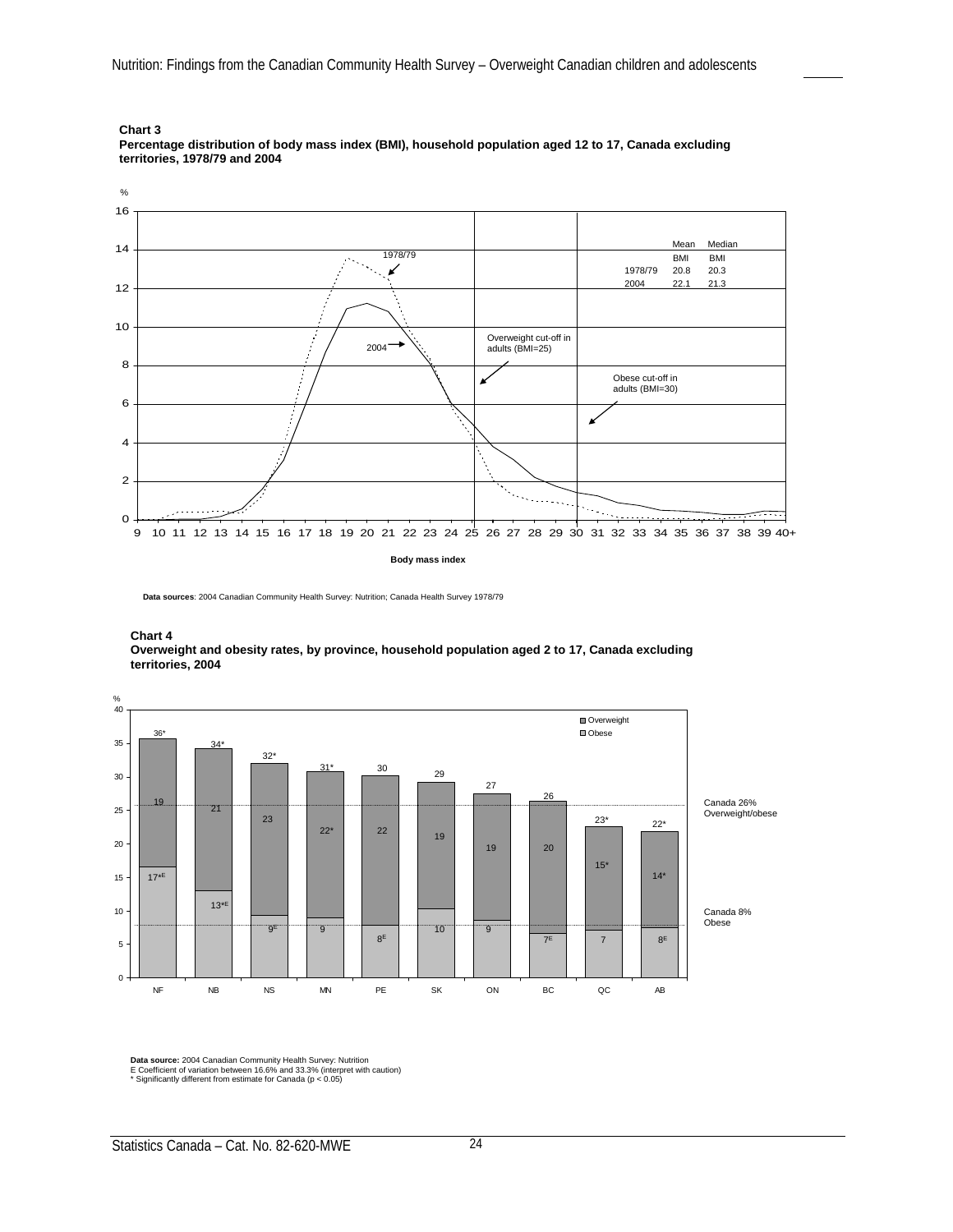



**Data sources**: 2004 Canadian Community Health Survey: Nutrition; Canada Health Survey 1978/79





**Data source:** 2004 Canadian Community Health Survey: Nutrition E Coefficient of variation between 16.6% and 33.3% (interpret with caution)

\* Significantly different from estimate for Canada (p < 0.05)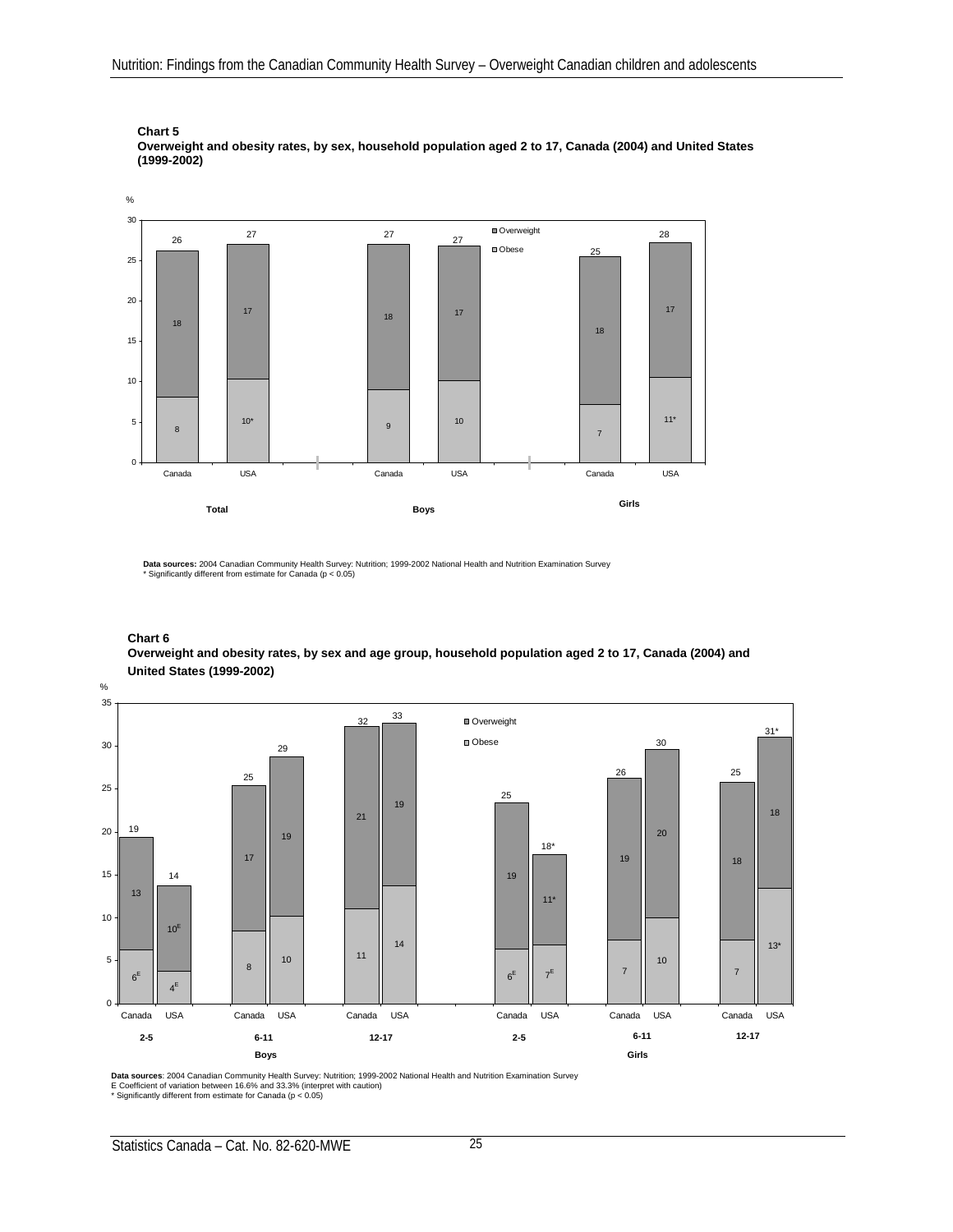

**Chart 5 Overweight and obesity rates, by sex, household population aged 2 to 17, Canada (2004) and United States (1999-2002)**

**Data sources:** 2004 Canadian Community Health Survey: Nutrition; 1999-2002 National Health and Nutrition Examination Survey \* Significantly different from estimate for Canada (p < 0.05)

#### **Chart 6**

**Overweight and obesity rates, by sex and age group, household population aged 2 to 17, Canada (2004) and United States (1999-2002)**



**Data sources**: 2004 Canadian Community Health Survey: Nutrition; 1999-2002 National Health and Nutrition Examination Survey<br>E Coefficient of variation between 16.6% and 33.3% (interpret with caution)<br>\* Significantly diffe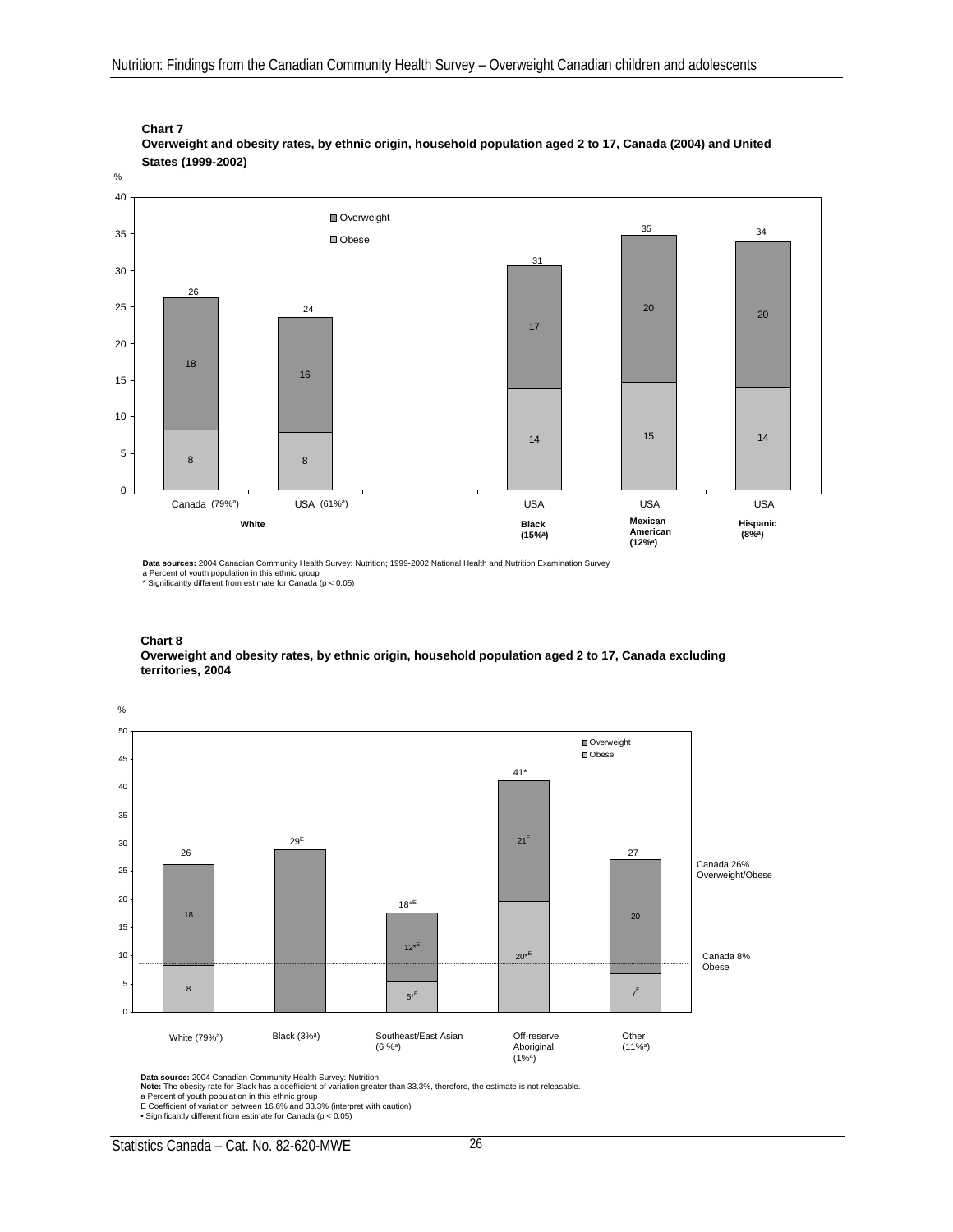

**Chart 7 Overweight and obesity rates, by ethnic origin, household population aged 2 to 17, Canada (2004) and United States (1999-2002)**

**Data sources:** 2004 Canadian Community Health Survey: Nutrition; 1999-2002 National Health and Nutrition Examination Survey a Percent of youth population in this ethnic group \* Significantly different from estimate for Canada (p < 0.05)

#### **Chart 8**

**Overweight and obesity rates, by ethnic origin, household population aged 2 to 17, Canada excluding territories, 2004**



**Data source:** 2004 Canadian Community Health Survey: Nutrition<br>**Note:** The obesity rate for Black has a coefficient of variation greater than 33.3%, therefore, the estimate is not releasable.<br>a Percent of youth population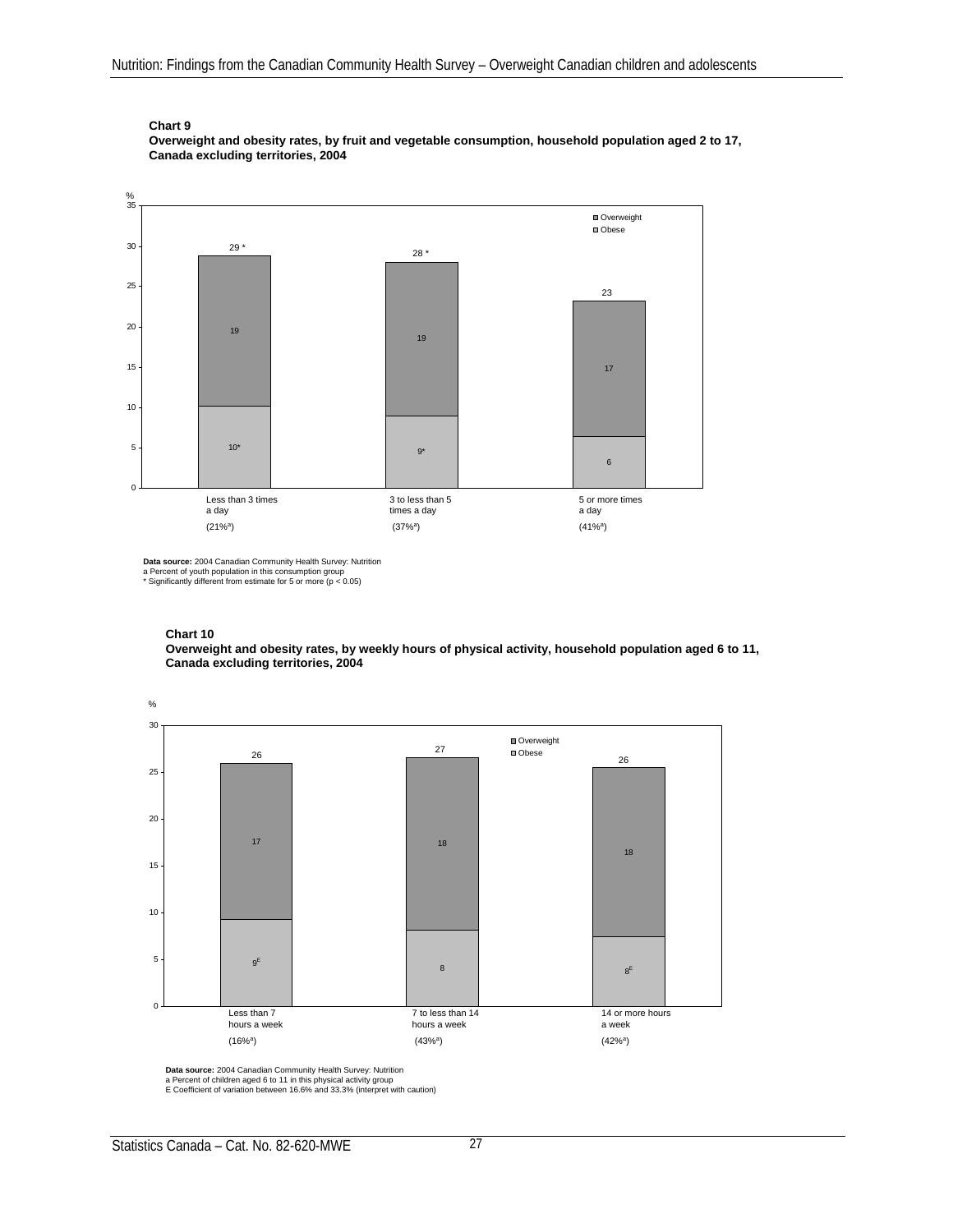

**Overweight and obesity rates, by fruit and vegetable consumption, household population aged 2 to 17, Canada excluding territories, 2004**



**Data source:** 2004 Canadian Community Health Survey: Nutrition<br>a Percent of youth population in this consumption group<br>\* Significantly different from estimate for 5 or more (p < 0.05)

#### **Chart 10**

**Overweight and obesity rates, by weekly hours of physical activity, household population aged 6 to 11, Canada excluding territories, 2004**



**Data source:** 2004 Canadian Community Health Survey: Nutrition<br>a Percent of children aged 6 to 11 in this physical activity group<br>E Coefficient of variation between 16.6% and 33.3% (interpret with caution)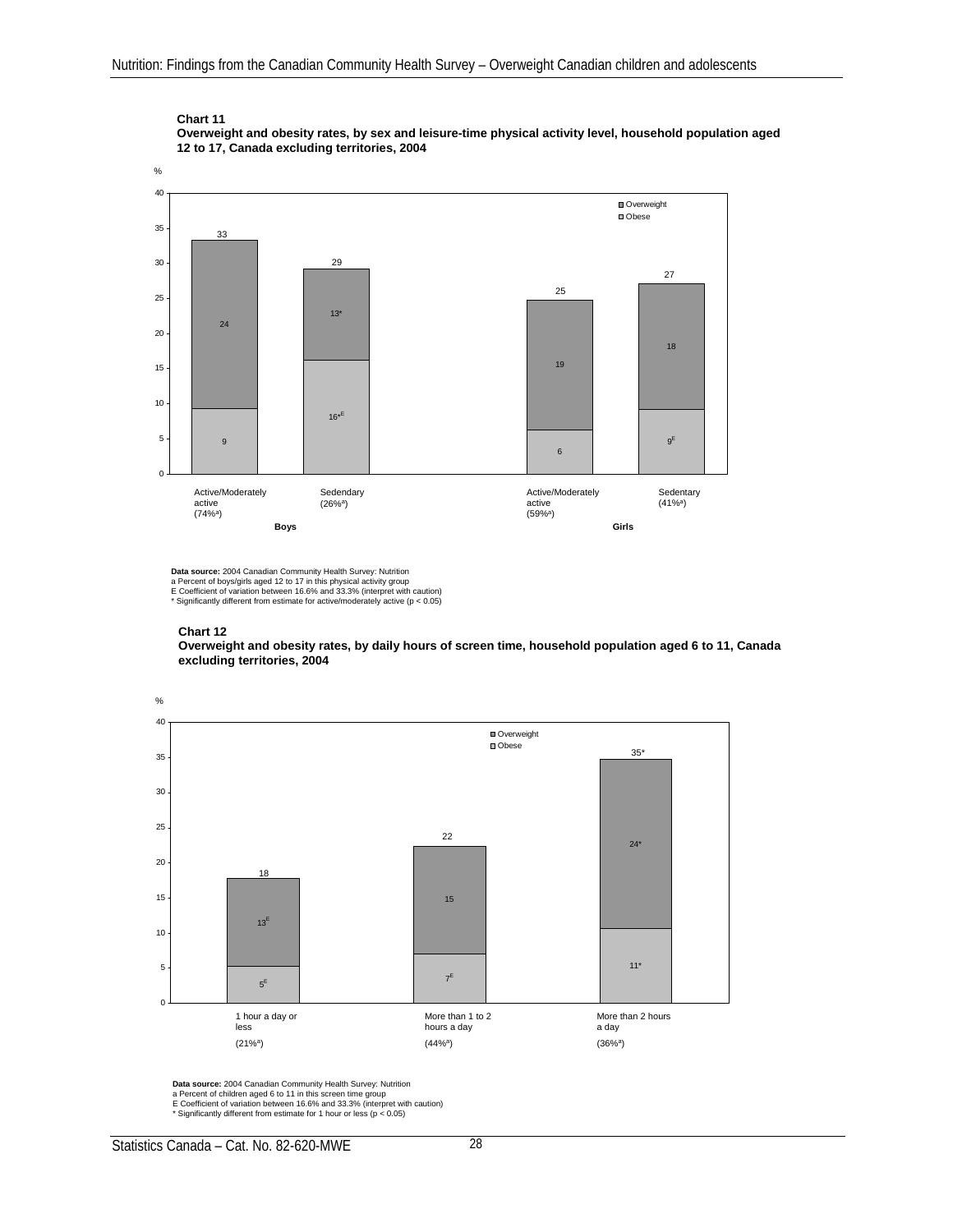**Overweight and obesity rates, by sex and leisure-time physical activity level, household population aged 12 to 17, Canada excluding territories, 2004**



**Data source:** 2004 Canadian Community Health Survey: Nutrition a Percent of boys/girls aged 12 to 17 in this physical activity group E Coefficient of variation between 16.6% and 33.3% (interpret with caution)

#### **Chart 12**

**Overweight and obesity rates, by daily hours of screen time, household population aged 6 to 11, Canada excluding territories, 2004**



**Data source:** 2004 Canadian Community Health Survey: Nutrition

- a Percent of children aged 6 to 11 in this screen time group
- E Coefficient of variation between 16.6% and 33.3% (interpret with caution) \* Significantly different from estimate for 1 hour or less (p < 0.05)

<sup>\*</sup> Significantly different from estimate for active/moderately active (p < 0.05)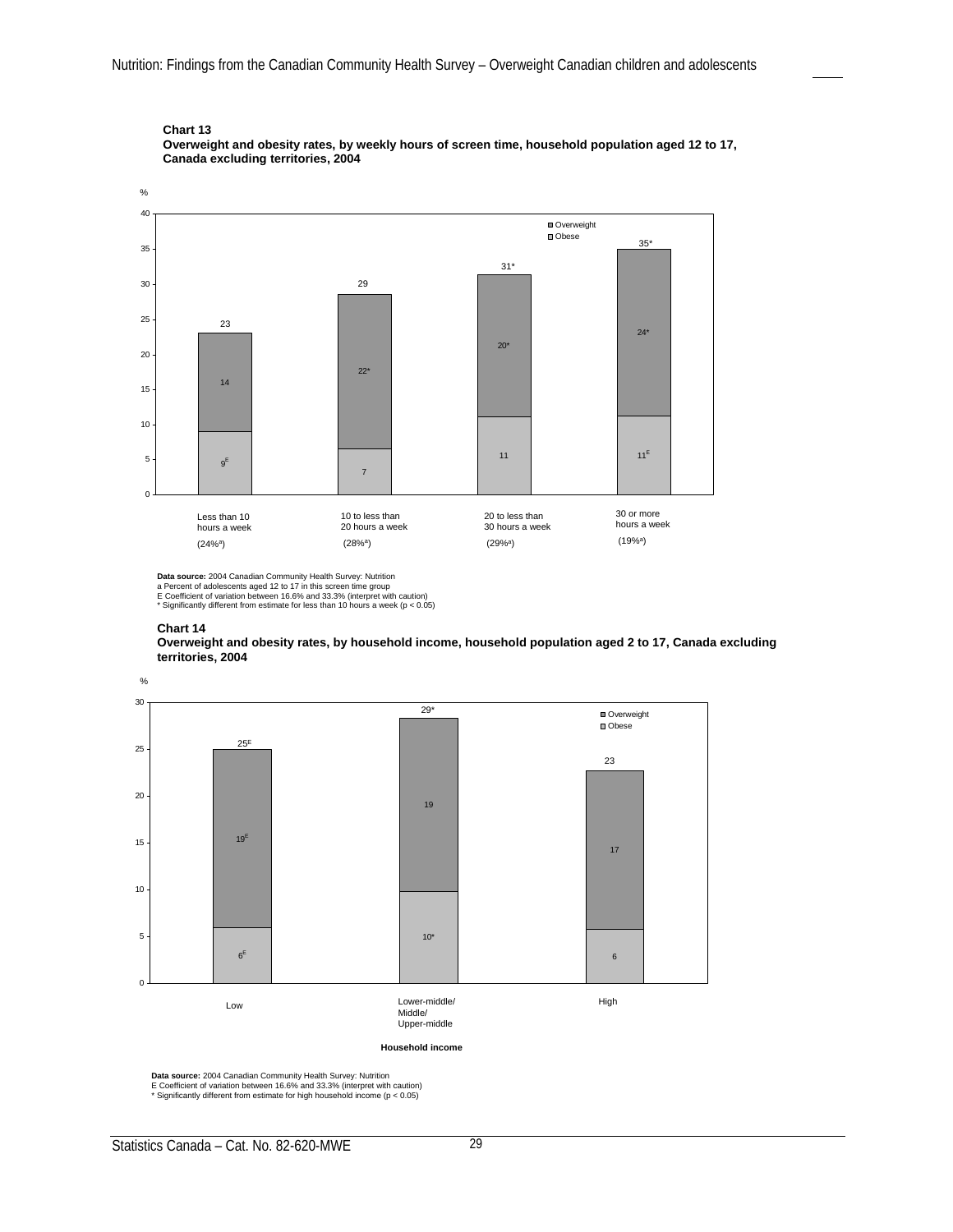

**Overweight and obesity rates, by weekly hours of screen time, household population aged 12 to 17, Canada excluding territories, 2004**

**Data source:** 2004 Canadian Community Health Survey: Nutrition

\* Significantly different from estimate for less than 10 hours a week ( $p < 0.05$ )

#### **Chart 14**

**Overweight and obesity rates, by household income, household population aged 2 to 17, Canada excluding territories, 2004**



**Data source:** 2004 Canadian Community Health Survey: Nutrition<br>E Coefficient of variation between 16.6% and 33.3% (interpret with caution)<br>\* Significantly different from estimate for high household income (p < 0.05)

a Percent of adolescents aged 12 to 17 in this screen time group E Coefficient of variation between 16.6% and 33.3% (interpret with caution)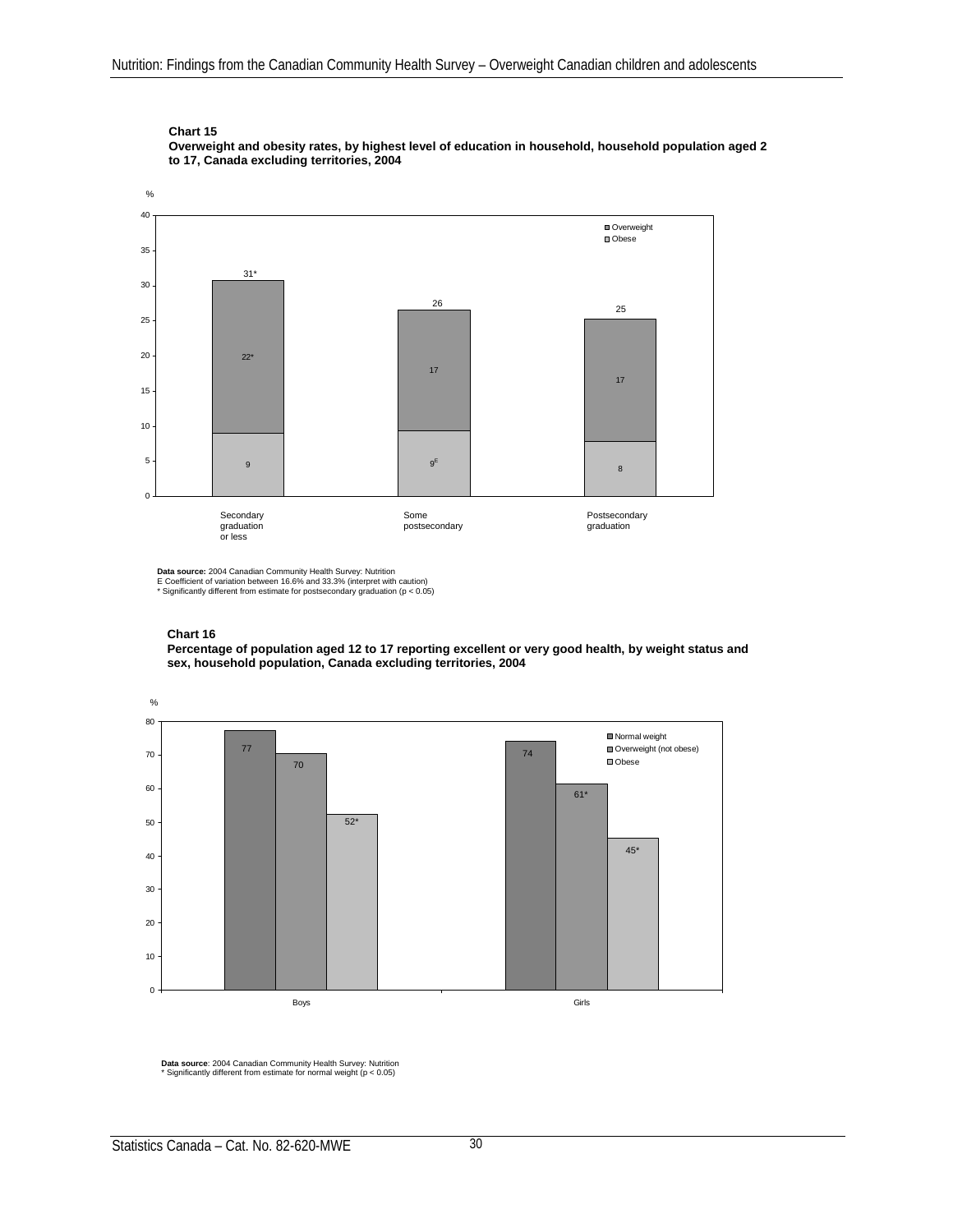**Overweight and obesity rates, by highest level of education in household, household population aged 2 to 17, Canada excluding territories, 2004**



**Data source:** 2004 Canadian Community Health Survey: Nutrition<br>E Coefficient of variation between 16.6% and 33.3% (interpret with caution)<br>\* Significantly different from estimate for postsecondary graduation (p < 0.05)



**Percentage of population aged 12 to 17 reporting excellent or very good health, by weight status and sex, household population, Canada excluding territories, 2004**



**Data source**: 2004 Canadian Community Health Survey: Nutrition \* Significantly different from estimate for normal weight (p < 0.05)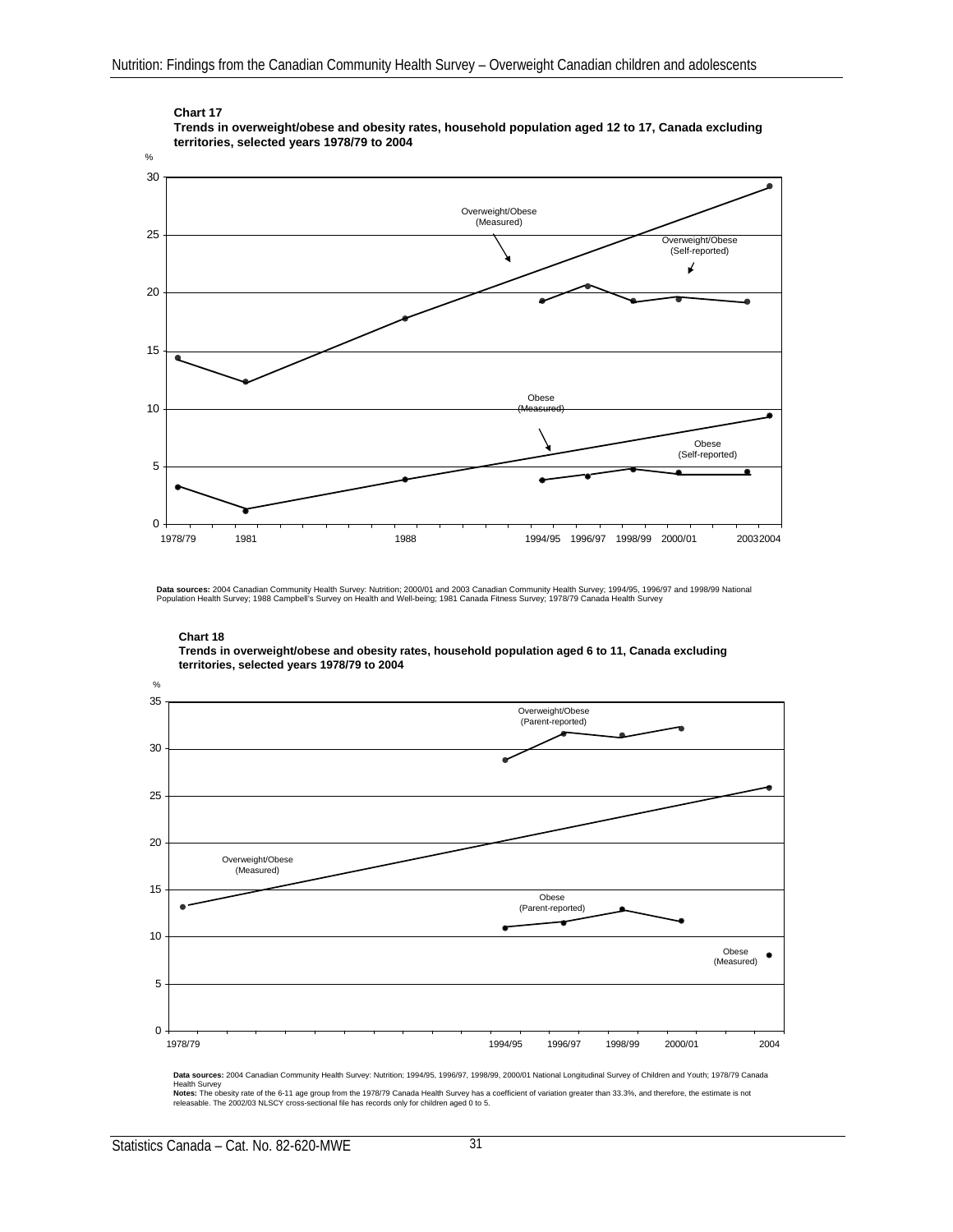

#### **Chart 17 Trends in overweight/obese and obesity rates, household population aged 12 to 17, Canada excluding territories, selected years 1978/79 to 2004**

**Data sources:** 2004 Canadian Community Health Survey: Nutrition; 2000/01 and 2003 Canadian Community Health Survey; 1994/95, 1996/97 and 1998/99 National<br>Population Health Survey; 1988 Campbell's Survey on Health and Well

 $\mathbf{O}_{\mathbf{A}}$ 35 Overweight/Obese (Parent-reported) 30 25 20 Overweight/Obese (Measured) 15 Obese (Parent-reported) 10 Obese  $\bullet$ (Measured) 5 0 1978/79 1994/95 1996/97 1998/99 2000/01 2004

**Chart 18 Trends in overweight/obese and obesity rates, household population aged 6 to 11, Canada excluding territories, selected years 1978/79 to 2004**

**Data sources:** 2004 Canadian Community Health Survey: Nutrition; 1994/95, 1996/97, 1998/99, 2000/01 National Longitudinal Survey of Children and Youth; 1978/79 Canada<br>Health Survey<br>Notes: The obesity rate of the 6-11 age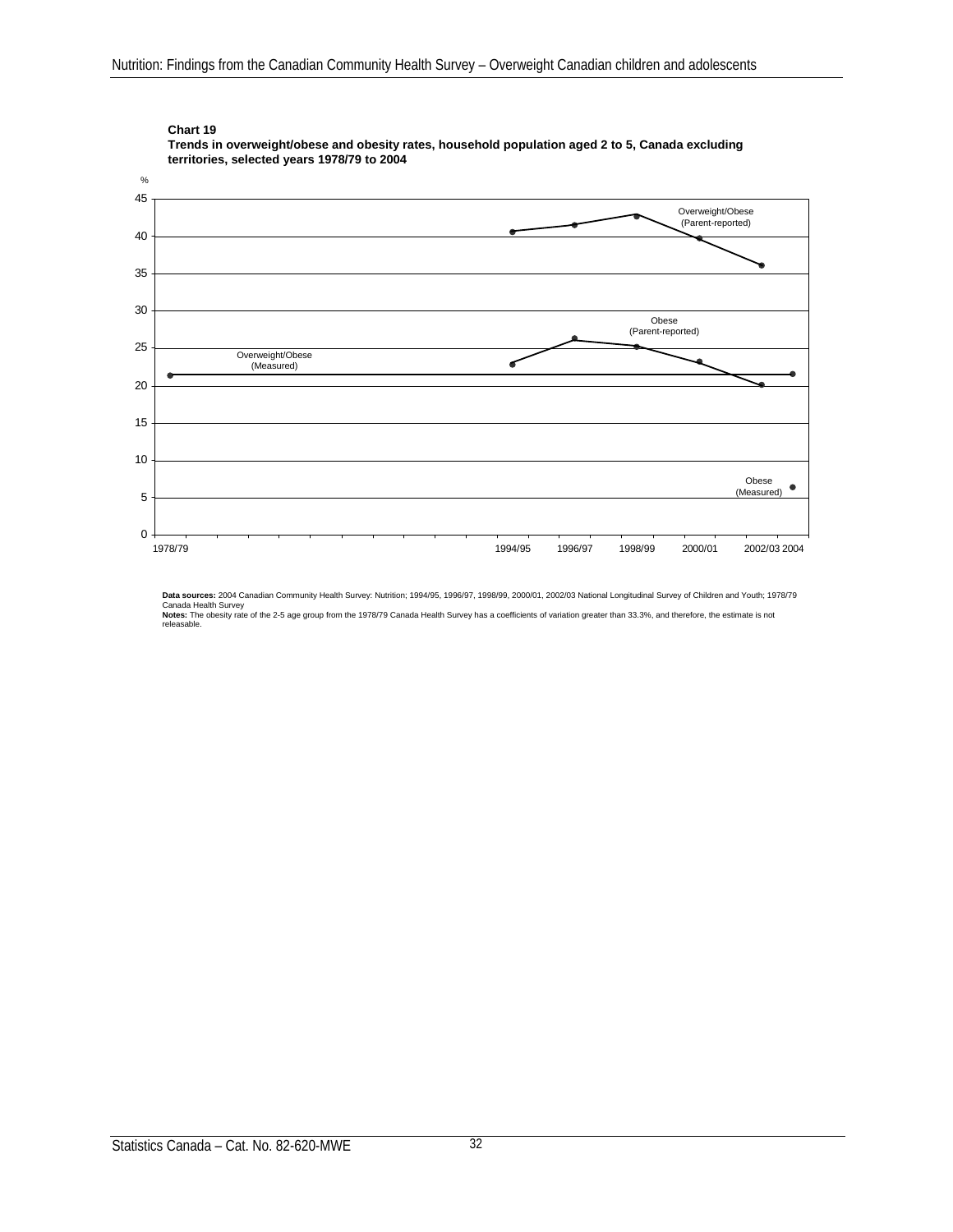

**Trends in overweight/obese and obesity rates, household population aged 2 to 5, Canada excluding territories, selected years 1978/79 to 2004**

**Data sources:** 2004 Canadian Community Health Survey: Nutrition; 1994/95, 1996/97, 1998/99, 2000/01, 2002/03 National Longitudinal Survey of Children and Youth; 1978/79<br>Canada Health Survey<br>**Notes:** The obesity rate of th releasable.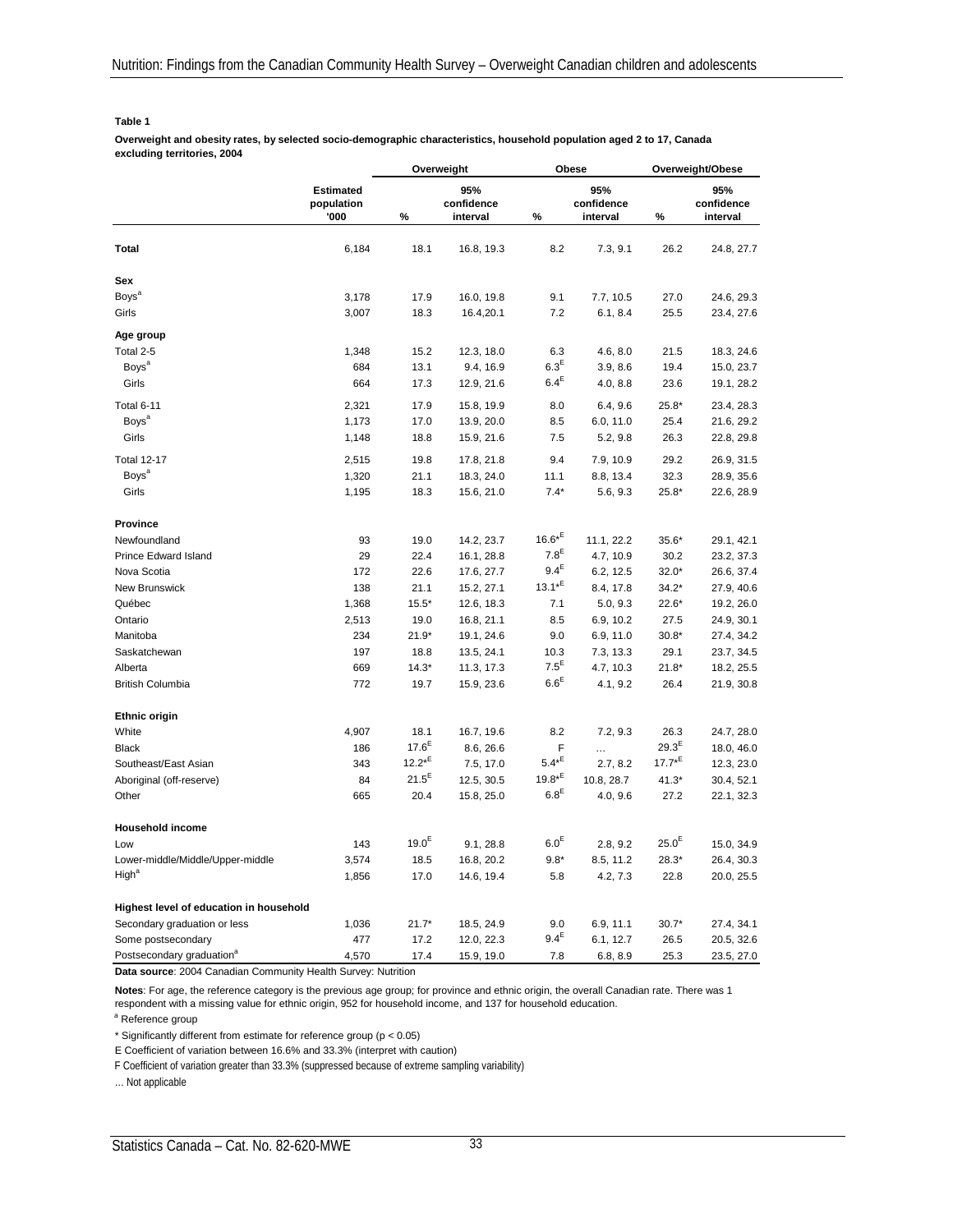#### **Table 1**

**Overweight and obesity rates, by selected socio-demographic characteristics, household population aged 2 to 17, Canada excluding territories, 2004**

|                                         |                  | Overweight  |            | Obese            |            | Overweight/Obese |            |
|-----------------------------------------|------------------|-------------|------------|------------------|------------|------------------|------------|
|                                         | <b>Estimated</b> |             | 95%        |                  | 95%        |                  | 95%        |
|                                         | population       |             | confidence |                  | confidence |                  | confidence |
|                                         | '000             | %           | interval   | %                | interval   | %                | interval   |
| Total                                   | 6,184            | 18.1        | 16.8, 19.3 | 8.2              | 7.3, 9.1   | 26.2             | 24.8, 27.7 |
| <b>Sex</b>                              |                  |             |            |                  |            |                  |            |
| <b>Boys</b> <sup>a</sup>                | 3,178            | 17.9        | 16.0, 19.8 | 9.1              | 7.7, 10.5  | 27.0             | 24.6, 29.3 |
| Girls                                   | 3,007            | 18.3        | 16.4,20.1  | 7.2              | 6.1, 8.4   | 25.5             | 23.4, 27.6 |
| Age group                               |                  |             |            |                  |            |                  |            |
| Total 2-5                               | 1,348            | 15.2        | 12.3, 18.0 | 6.3              | 4.6, 8.0   | 21.5             | 18.3, 24.6 |
| <b>Boys</b> <sup>a</sup>                | 684              | 13.1        | 9.4, 16.9  | $6.3^E$          | 3.9, 8.6   | 19.4             | 15.0, 23.7 |
| Girls                                   | 664              | 17.3        | 12.9, 21.6 | $6.4^E$          | 4.0, 8.8   | 23.6             | 19.1, 28.2 |
| Total 6-11                              | 2,321            | 17.9        | 15.8, 19.9 | 8.0              | 6.4, 9.6   | $25.8*$          | 23.4, 28.3 |
| Boys <sup>a</sup>                       | 1,173            | 17.0        | 13.9, 20.0 | 8.5              | 6.0, 11.0  | 25.4             | 21.6, 29.2 |
| Girls                                   | 1,148            | 18.8        | 15.9, 21.6 | 7.5              | 5.2, 9.8   | 26.3             | 22.8, 29.8 |
| <b>Total 12-17</b>                      | 2,515            | 19.8        | 17.8, 21.8 | 9.4              | 7.9, 10.9  | 29.2             | 26.9, 31.5 |
| <b>Boys</b> <sup>a</sup>                | 1,320            | 21.1        | 18.3, 24.0 | 11.1             | 8.8, 13.4  | 32.3             | 28.9, 35.6 |
| Girls                                   | 1,195            | 18.3        | 15.6, 21.0 | $7.4*$           | 5.6, 9.3   | $25.8*$          | 22.6, 28.9 |
| <b>Province</b>                         |                  |             |            |                  |            |                  |            |
| Newfoundland                            | 93               | 19.0        | 14.2, 23.7 | $16.6*^{E}$      | 11.1, 22.2 | $35.6*$          | 29.1, 42.1 |
| Prince Edward Island                    | 29               | 22.4        | 16.1, 28.8 | 7.8 <sup>E</sup> | 4.7, 10.9  | 30.2             | 23.2, 37.3 |
| Nova Scotia                             | 172              | 22.6        | 17.6, 27.7 | $9.4^E$          | 6.2, 12.5  | $32.0*$          | 26.6, 37.4 |
| <b>New Brunswick</b>                    | 138              | 21.1        | 15.2, 27.1 | $13.1*^{E}$      | 8.4, 17.8  | $34.2*$          | 27.9, 40.6 |
| Québec                                  | 1,368            | $15.5*$     | 12.6, 18.3 | 7.1              | 5.0, 9.3   | $22.6*$          | 19.2, 26.0 |
| Ontario                                 | 2,513            | 19.0        | 16.8, 21.1 | 8.5              | 6.9, 10.2  | 27.5             | 24.9, 30.1 |
| Manitoba                                | 234              | $21.9*$     | 19.1, 24.6 | 9.0              | 6.9, 11.0  | $30.8*$          | 27.4, 34.2 |
| Saskatchewan                            | 197              | 18.8        | 13.5, 24.1 | 10.3             | 7.3, 13.3  | 29.1             | 23.7, 34.5 |
| Alberta                                 | 669              | $14.3*$     | 11.3, 17.3 | $7.5^E$          | 4.7, 10.3  | $21.8*$          | 18.2, 25.5 |
| <b>British Columbia</b>                 | 772              | 19.7        | 15.9, 23.6 | $6.6^E$          | 4.1, 9.2   | 26.4             | 21.9, 30.8 |
| <b>Ethnic origin</b>                    |                  |             |            |                  |            |                  |            |
| White                                   | 4,907            | 18.1        | 16.7, 19.6 | 8.2              | 7.2, 9.3   | 26.3             | 24.7, 28.0 |
| <b>Black</b>                            | 186              | $17.6^{E}$  | 8.6, 26.6  | F                |            | $29.3^{\sf E}$   | 18.0, 46.0 |
| Southeast/East Asian                    | 343              | $12.2*^{E}$ | 7.5, 17.0  | $5.4*^E$         | 2.7, 8.2   | $17.7*^{E}$      | 12.3, 23.0 |
| Aboriginal (off-reserve)                | 84               | $21.5^{E}$  | 12.5, 30.5 | $19.8*^{E}$      | 10.8, 28.7 | $41.3*$          | 30.4, 52.1 |
| Other                                   | 665              | 20.4        | 15.8, 25.0 | $6.8^{\sf E}$    | 4.0, 9.6   | 27.2             | 22.1, 32.3 |
| <b>Household income</b>                 |                  |             |            |                  |            |                  |            |
| Low                                     | 143              | $19.0^{E}$  | 9.1, 28.8  | 6.0 <sup>E</sup> | 2.8, 9.2   | $25.0^{E}$       | 15.0, 34.9 |
| Lower-middle/Middle/Upper-middle        | 3,574            | 18.5        | 16.8, 20.2 | $9.8*$           | 8.5, 11.2  | $28.3*$          | 26.4, 30.3 |
| High <sup>a</sup>                       | 1,856            | 17.0        | 14.6, 19.4 | 5.8              | 4.2, 7.3   | 22.8             | 20.0, 25.5 |
| Highest level of education in household |                  |             |            |                  |            |                  |            |
| Secondary graduation or less            | 1,036            | $21.7*$     | 18.5, 24.9 | 9.0              | 6.9, 11.1  | $30.7*$          | 27.4, 34.1 |
| Some postsecondary                      | 477              | 17.2        | 12.0, 22.3 | $9.4^E$          | 6.1, 12.7  | 26.5             | 20.5, 32.6 |
| Postsecondary graduation <sup>a</sup>   | 4,570            | 17.4        | 15.9, 19.0 | 7.8              | 6.8, 8.9   | 25.3             | 23.5, 27.0 |

**Data source**: 2004 Canadian Community Health Survey: Nutrition

**Notes**: For age, the reference category is the previous age group; for province and ethnic origin, the overall Canadian rate. There was 1 respondent with a missing value for ethnic origin, 952 for household income, and 137 for household education.

<sup>a</sup> Reference group

\* Significantly different from estimate for reference group (p < 0.05)

E Coefficient of variation between 16.6% and 33.3% (interpret with caution)

F Coefficient of variation greater than 33.3% (suppressed because of extreme sampling variability)

… Not applicable